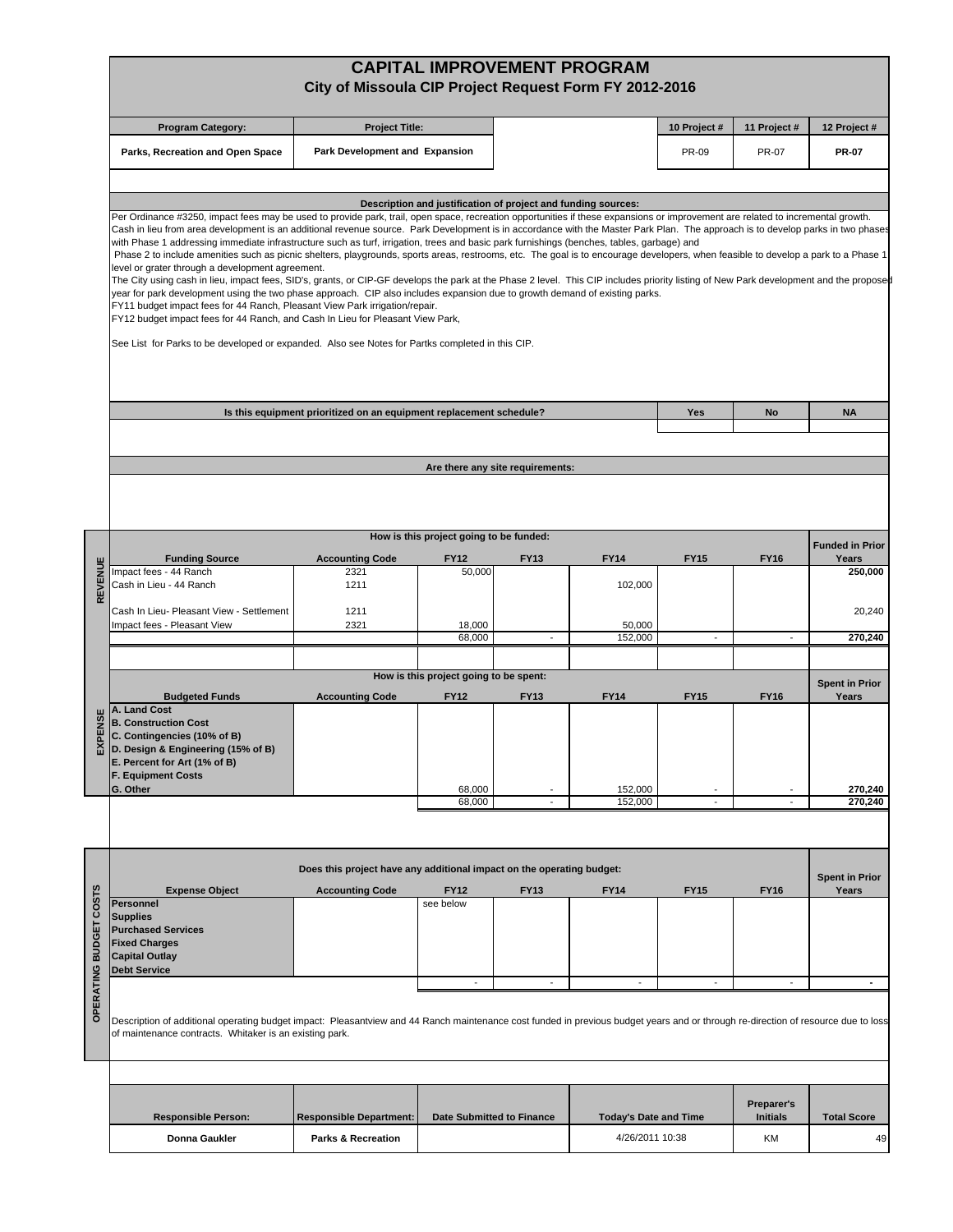|                        |                                                                                                                                                                                                                                                                                                                                                                                                                                                                                                                                                                                                                                                                                                                                                                                                                                                                                                                                                                                                                                                                                                                                                                                                                                                                                                                                                          | City of Missoula CIP Project Request Form FY 2012-2016                |                                                               |             | <b>CAPITAL IMPROVEMENT PROGRAM</b> |                                                      |                 |                        |  |
|------------------------|----------------------------------------------------------------------------------------------------------------------------------------------------------------------------------------------------------------------------------------------------------------------------------------------------------------------------------------------------------------------------------------------------------------------------------------------------------------------------------------------------------------------------------------------------------------------------------------------------------------------------------------------------------------------------------------------------------------------------------------------------------------------------------------------------------------------------------------------------------------------------------------------------------------------------------------------------------------------------------------------------------------------------------------------------------------------------------------------------------------------------------------------------------------------------------------------------------------------------------------------------------------------------------------------------------------------------------------------------------|-----------------------------------------------------------------------|---------------------------------------------------------------|-------------|------------------------------------|------------------------------------------------------|-----------------|------------------------|--|
|                        | <b>Program Category:</b>                                                                                                                                                                                                                                                                                                                                                                                                                                                                                                                                                                                                                                                                                                                                                                                                                                                                                                                                                                                                                                                                                                                                                                                                                                                                                                                                 | <b>Project Title:</b>                                                 |                                                               |             |                                    | 10 Project #                                         | 11 Project #    | 12 Project #           |  |
|                        | Parks, Recreation and Open Space                                                                                                                                                                                                                                                                                                                                                                                                                                                                                                                                                                                                                                                                                                                                                                                                                                                                                                                                                                                                                                                                                                                                                                                                                                                                                                                         | Park Development and Expansion                                        |                                                               |             |                                    | <b>PR-09</b>                                         | <b>PR-07</b>    | <b>PR-07</b>           |  |
|                        |                                                                                                                                                                                                                                                                                                                                                                                                                                                                                                                                                                                                                                                                                                                                                                                                                                                                                                                                                                                                                                                                                                                                                                                                                                                                                                                                                          |                                                                       | Description and justification of project and funding sources: |             |                                    |                                                      |                 |                        |  |
|                        | Per Ordinance #3250, impact fees may be used to provide park, trail, open space, recreation opportunities if these expansions or improvement are related to incremental growth.<br>Cash in lieu from area development is an additional revenue source. Park Development is in accordance with the Master Park Plan. The approach is to develop parks in two phases<br>with Phase 1 addressing immediate infrastructure such as turf, irrigation, trees and basic park furnishings (benches, tables, garbage) and<br>Phase 2 to include amenities such as picnic shelters, playgrounds, sports areas, restrooms, etc. The goal is to encourage developers, when feasible to develop a park to a Phase 1<br>level or grater through a development agreement.<br>The City using cash in lieu, impact fees, SID's, grants, or CIP-GF develops the park at the Phase 2 level. This CIP includes priority listing of New Park development and the proposed<br>year for park development using the two phase approach. CIP also includes expansion due to growth demand of existing parks.<br>FY11 budget impact fees for 44 Ranch, Pleasant View Park irrigation/repair.<br>FY12 budget impact fees for 44 Ranch, and Cash In Lieu for Pleasant View Park,<br>See List for Parks to be developed or expanded. Also see Notes for Partks completed in this CIP. |                                                                       |                                                               |             |                                    |                                                      |                 |                        |  |
|                        |                                                                                                                                                                                                                                                                                                                                                                                                                                                                                                                                                                                                                                                                                                                                                                                                                                                                                                                                                                                                                                                                                                                                                                                                                                                                                                                                                          | Is this equipment prioritized on an equipment replacement schedule?   |                                                               |             |                                    | Yes                                                  | No              | <b>NA</b>              |  |
|                        |                                                                                                                                                                                                                                                                                                                                                                                                                                                                                                                                                                                                                                                                                                                                                                                                                                                                                                                                                                                                                                                                                                                                                                                                                                                                                                                                                          |                                                                       |                                                               |             |                                    |                                                      |                 |                        |  |
|                        |                                                                                                                                                                                                                                                                                                                                                                                                                                                                                                                                                                                                                                                                                                                                                                                                                                                                                                                                                                                                                                                                                                                                                                                                                                                                                                                                                          |                                                                       | Are there any site requirements:                              |             |                                    |                                                      |                 |                        |  |
|                        |                                                                                                                                                                                                                                                                                                                                                                                                                                                                                                                                                                                                                                                                                                                                                                                                                                                                                                                                                                                                                                                                                                                                                                                                                                                                                                                                                          |                                                                       |                                                               |             |                                    |                                                      |                 |                        |  |
|                        |                                                                                                                                                                                                                                                                                                                                                                                                                                                                                                                                                                                                                                                                                                                                                                                                                                                                                                                                                                                                                                                                                                                                                                                                                                                                                                                                                          |                                                                       | How is this project going to be funded:                       |             |                                    |                                                      |                 | <b>Funded in Prior</b> |  |
|                        | <b>Funding Source</b><br>Impact fees - 44 Ranch                                                                                                                                                                                                                                                                                                                                                                                                                                                                                                                                                                                                                                                                                                                                                                                                                                                                                                                                                                                                                                                                                                                                                                                                                                                                                                          | <b>Accounting Code</b><br>2321                                        | <b>FY12</b><br>50,000                                         | <b>FY13</b> | <b>FY14</b>                        | <b>FY15</b>                                          | FY16            | Years<br>250,000       |  |
| REVENUE                | Cash in Lieu - 44 Ranch                                                                                                                                                                                                                                                                                                                                                                                                                                                                                                                                                                                                                                                                                                                                                                                                                                                                                                                                                                                                                                                                                                                                                                                                                                                                                                                                  | 1211                                                                  |                                                               |             | 102,000                            |                                                      |                 |                        |  |
|                        | Cash In Lieu- Pleasant View - Settlement                                                                                                                                                                                                                                                                                                                                                                                                                                                                                                                                                                                                                                                                                                                                                                                                                                                                                                                                                                                                                                                                                                                                                                                                                                                                                                                 | 1211                                                                  |                                                               |             |                                    |                                                      |                 | 20,240                 |  |
|                        | Impact fees - Pleasant View                                                                                                                                                                                                                                                                                                                                                                                                                                                                                                                                                                                                                                                                                                                                                                                                                                                                                                                                                                                                                                                                                                                                                                                                                                                                                                                              | 2321                                                                  | 18,000<br>68,000                                              |             | 50,000<br>152,000                  |                                                      |                 | 270,240                |  |
|                        |                                                                                                                                                                                                                                                                                                                                                                                                                                                                                                                                                                                                                                                                                                                                                                                                                                                                                                                                                                                                                                                                                                                                                                                                                                                                                                                                                          |                                                                       |                                                               |             |                                    |                                                      |                 |                        |  |
|                        |                                                                                                                                                                                                                                                                                                                                                                                                                                                                                                                                                                                                                                                                                                                                                                                                                                                                                                                                                                                                                                                                                                                                                                                                                                                                                                                                                          |                                                                       | How is this project going to be spent:                        |             |                                    |                                                      |                 | <b>Spent in Prior</b>  |  |
| EXPENSE                | <b>Budgeted Funds</b><br>A. Land Cost<br><b>B. Construction Cost</b><br>C. Contingencies (10% of B)<br>D. Design & Engineering (15% of B)<br>E. Percent for Art (1% of B)<br><b>F. Equipment Costs</b>                                                                                                                                                                                                                                                                                                                                                                                                                                                                                                                                                                                                                                                                                                                                                                                                                                                                                                                                                                                                                                                                                                                                                   | <b>Accounting Code</b>                                                | <b>FY12</b>                                                   | <b>FY13</b> | <b>FY14</b>                        | <b>FY15</b>                                          | <b>FY16</b>     | Years                  |  |
|                        | G. Other                                                                                                                                                                                                                                                                                                                                                                                                                                                                                                                                                                                                                                                                                                                                                                                                                                                                                                                                                                                                                                                                                                                                                                                                                                                                                                                                                 |                                                                       | 68,000<br>68,000                                              | $\sim$      | 152,000<br>152,000                 | $\overline{\phantom{a}}$<br>$\overline{\phantom{a}}$ | ÷,              | 270,240<br>270,240     |  |
|                        |                                                                                                                                                                                                                                                                                                                                                                                                                                                                                                                                                                                                                                                                                                                                                                                                                                                                                                                                                                                                                                                                                                                                                                                                                                                                                                                                                          |                                                                       |                                                               |             |                                    |                                                      |                 |                        |  |
|                        |                                                                                                                                                                                                                                                                                                                                                                                                                                                                                                                                                                                                                                                                                                                                                                                                                                                                                                                                                                                                                                                                                                                                                                                                                                                                                                                                                          | Does this project have any additional impact on the operating budget: |                                                               |             |                                    |                                                      |                 | <b>Spent in Prior</b>  |  |
|                        | <b>Expense Object</b><br>Personnel                                                                                                                                                                                                                                                                                                                                                                                                                                                                                                                                                                                                                                                                                                                                                                                                                                                                                                                                                                                                                                                                                                                                                                                                                                                                                                                       | <b>Accounting Code</b>                                                | <b>FY12</b><br>see below                                      | <b>FY13</b> | <b>FY14</b>                        | <b>FY15</b>                                          | <b>FY16</b>     | Years                  |  |
| OPERATING BUDGET COSTS | <b>Supplies</b><br><b>Purchased Services</b><br><b>Fixed Charges</b><br><b>Capital Outlay</b><br><b>Debt Service</b>                                                                                                                                                                                                                                                                                                                                                                                                                                                                                                                                                                                                                                                                                                                                                                                                                                                                                                                                                                                                                                                                                                                                                                                                                                     |                                                                       |                                                               |             |                                    |                                                      |                 |                        |  |
|                        | Description of additional operating budget impact: Pleasantview and 44 Ranch maintenance cost funded in previous budget years and or through re-direction of resource due to loss<br>of maintenance contracts. Whitaker is an existing park.                                                                                                                                                                                                                                                                                                                                                                                                                                                                                                                                                                                                                                                                                                                                                                                                                                                                                                                                                                                                                                                                                                             |                                                                       |                                                               |             |                                    |                                                      |                 |                        |  |
|                        |                                                                                                                                                                                                                                                                                                                                                                                                                                                                                                                                                                                                                                                                                                                                                                                                                                                                                                                                                                                                                                                                                                                                                                                                                                                                                                                                                          |                                                                       |                                                               |             |                                    |                                                      |                 |                        |  |
|                        |                                                                                                                                                                                                                                                                                                                                                                                                                                                                                                                                                                                                                                                                                                                                                                                                                                                                                                                                                                                                                                                                                                                                                                                                                                                                                                                                                          |                                                                       |                                                               |             |                                    |                                                      | Preparer's      |                        |  |
|                        | <b>Responsible Person:</b>                                                                                                                                                                                                                                                                                                                                                                                                                                                                                                                                                                                                                                                                                                                                                                                                                                                                                                                                                                                                                                                                                                                                                                                                                                                                                                                               | <b>Responsible Department:</b>                                        | <b>Date Submitted to Finance</b>                              |             | <b>Today's Date and Time</b>       |                                                      | <b>Initials</b> | <b>Total Score</b>     |  |
|                        | Donna Gaukler                                                                                                                                                                                                                                                                                                                                                                                                                                                                                                                                                                                                                                                                                                                                                                                                                                                                                                                                                                                                                                                                                                                                                                                                                                                                                                                                            | Parks & Recreation                                                    |                                                               |             | 4/26/2011 10:38                    |                                                      | KM              | 49                     |  |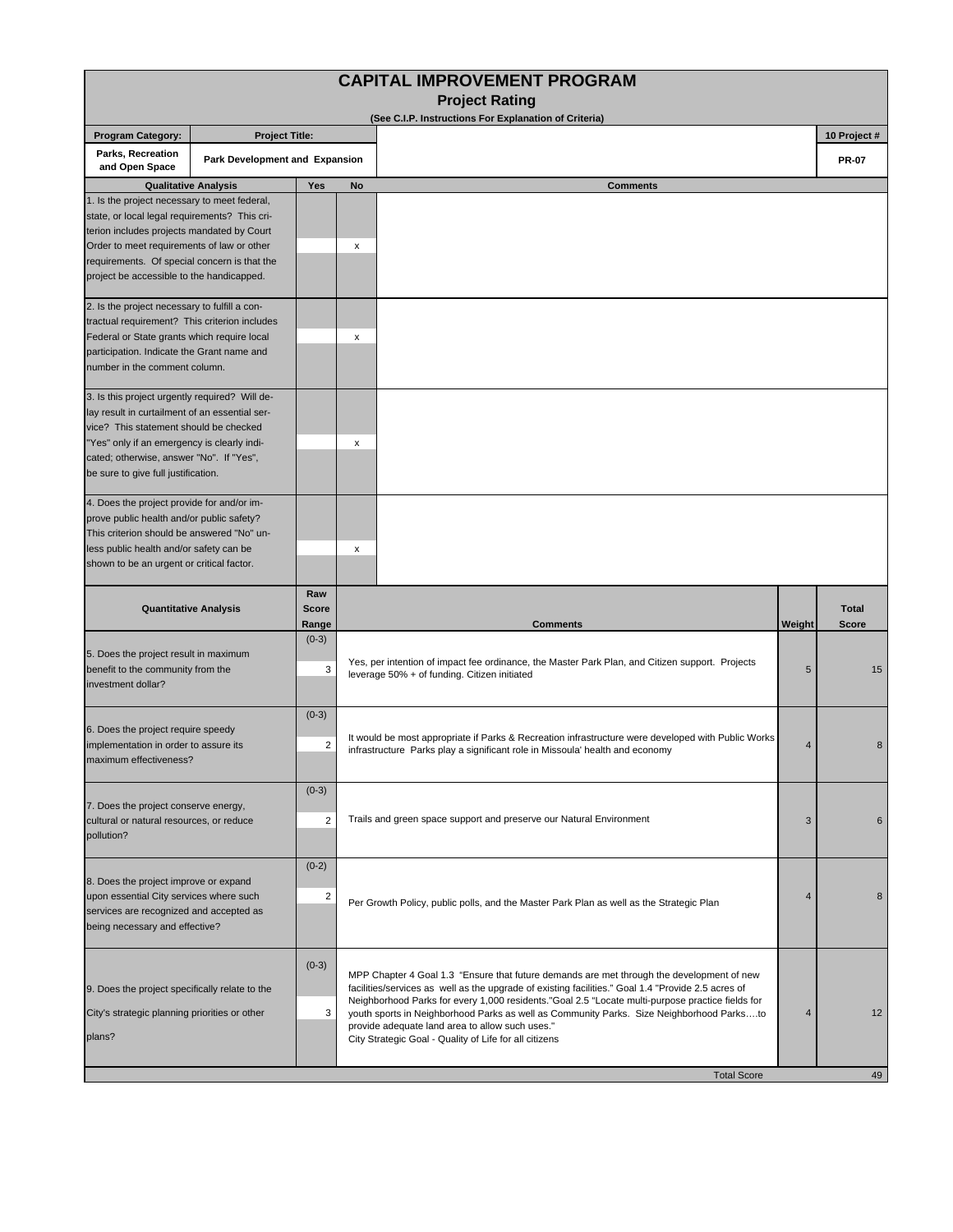| <b>Project Rating</b><br>(See C.I.P. Instructions For Explanation of Criteria)<br><b>Program Category:</b><br><b>Project Title:</b><br>10 Project #<br>Parks, Recreation<br>Park Development and Expansion<br><b>PR-07</b><br>and Open Space<br><b>Qualitative Analysis</b><br>Yes<br><b>Comments</b><br>No<br>1. Is the project necessary to meet federal,<br>state, or local legal requirements? This cri-<br>terion includes projects mandated by Court<br>Order to meet requirements of law or other<br>х<br>requirements. Of special concern is that the<br>project be accessible to the handicapped.<br>2. Is the project necessary to fulfill a con-<br>tractual requirement? This criterion includes<br>Federal or State grants which require local<br>x<br>participation. Indicate the Grant name and<br>number in the comment column.<br>3. Is this project urgently required? Will de-<br>lay result in curtailment of an essential ser-<br>vice? This statement should be checked<br>"Yes" only if an emergency is clearly indi-<br>x<br>cated; otherwise, answer "No". If "Yes",<br>be sure to give full justification.<br>4. Does the project provide for and/or im-<br>prove public health and/or public safety?<br>This criterion should be answered "No" un-<br>less public health and/or safety can be<br>x<br>shown to be an urgent or critical factor.<br>Raw<br><b>Score</b><br><b>Total</b><br><b>Quantitative Analysis</b><br><b>Comments</b><br>Weight<br><b>Score</b><br>Range<br>$(0-3)$<br>5. Does the project result in maximum<br>Yes, per intention of impact fee ordinance, the Master Park Plan, and Citizen support. Projects<br>benefit to the community from the<br>3<br>5<br>15<br>leverage 50% + of funding. Citizen initiated<br>investment dollar?<br>$(0-3)$<br>6. Does the project require speedy<br>It would be most appropriate if Parks & Recreation infrastructure were developed with Public Works<br>implementation in order to assure its<br>2<br>4<br>8<br>infrastructure Parks play a significant role in Missoula' health and economy<br>maximum effectiveness?<br>$(0-3)$<br>7. Does the project conserve energy,<br>Trails and green space support and preserve our Natural Environment<br>$\overline{2}$<br>3<br>cultural or natural resources, or reduce<br>6<br>pollution?<br>$(0-2)$<br>8. Does the project improve or expand<br>upon essential City services where such<br>2<br>4<br>8<br>Per Growth Policy, public polls, and the Master Park Plan as well as the Strategic Plan<br>services are recognized and accepted as<br>being necessary and effective?<br>$(0-3)$<br>MPP Chapter 4 Goal 1.3 "Ensure that future demands are met through the development of new<br>facilities/services as well as the upgrade of existing facilities." Goal 1.4 "Provide 2.5 acres of<br>9. Does the project specifically relate to the<br>Neighborhood Parks for every 1,000 residents."Goal 2.5 "Locate multi-purpose practice fields for<br>12<br>City's strategic planning priorities or other<br>3<br>youth sports in Neighborhood Parks as well as Community Parks. Size Neighborhood Parksto<br>$\overline{4}$<br>provide adequate land area to allow such uses."<br>plans?<br>City Strategic Goal - Quality of Life for all citizens<br>49<br><b>Total Score</b> |  |  |  | <b>CAPITAL IMPROVEMENT PROGRAM</b> |  |  |
|---------------------------------------------------------------------------------------------------------------------------------------------------------------------------------------------------------------------------------------------------------------------------------------------------------------------------------------------------------------------------------------------------------------------------------------------------------------------------------------------------------------------------------------------------------------------------------------------------------------------------------------------------------------------------------------------------------------------------------------------------------------------------------------------------------------------------------------------------------------------------------------------------------------------------------------------------------------------------------------------------------------------------------------------------------------------------------------------------------------------------------------------------------------------------------------------------------------------------------------------------------------------------------------------------------------------------------------------------------------------------------------------------------------------------------------------------------------------------------------------------------------------------------------------------------------------------------------------------------------------------------------------------------------------------------------------------------------------------------------------------------------------------------------------------------------------------------------------------------------------------------------------------------------------------------------------------------------------------------------------------------------------------------------------------------------------------------------------------------------------------------------------------------------------------------------------------------------------------------------------------------------------------------------------------------------------------------------------------------------------------------------------------------------------------------------------------------------------------------------------------------------------------------------------------------------------------------------------------------------------------------------------------------------------------------------------------------------------------------------------------------------------------------------------------------------------------------------------------------------------------------------------------------------------------------------------------------------------------------------------------------------------------------------------------------------------------------------------------------------------------------------------------------------------------------------------------------------------------------------------------------------------------------------------------------------------------|--|--|--|------------------------------------|--|--|
|                                                                                                                                                                                                                                                                                                                                                                                                                                                                                                                                                                                                                                                                                                                                                                                                                                                                                                                                                                                                                                                                                                                                                                                                                                                                                                                                                                                                                                                                                                                                                                                                                                                                                                                                                                                                                                                                                                                                                                                                                                                                                                                                                                                                                                                                                                                                                                                                                                                                                                                                                                                                                                                                                                                                                                                                                                                                                                                                                                                                                                                                                                                                                                                                                                                                                                                           |  |  |  |                                    |  |  |
|                                                                                                                                                                                                                                                                                                                                                                                                                                                                                                                                                                                                                                                                                                                                                                                                                                                                                                                                                                                                                                                                                                                                                                                                                                                                                                                                                                                                                                                                                                                                                                                                                                                                                                                                                                                                                                                                                                                                                                                                                                                                                                                                                                                                                                                                                                                                                                                                                                                                                                                                                                                                                                                                                                                                                                                                                                                                                                                                                                                                                                                                                                                                                                                                                                                                                                                           |  |  |  |                                    |  |  |
|                                                                                                                                                                                                                                                                                                                                                                                                                                                                                                                                                                                                                                                                                                                                                                                                                                                                                                                                                                                                                                                                                                                                                                                                                                                                                                                                                                                                                                                                                                                                                                                                                                                                                                                                                                                                                                                                                                                                                                                                                                                                                                                                                                                                                                                                                                                                                                                                                                                                                                                                                                                                                                                                                                                                                                                                                                                                                                                                                                                                                                                                                                                                                                                                                                                                                                                           |  |  |  |                                    |  |  |
|                                                                                                                                                                                                                                                                                                                                                                                                                                                                                                                                                                                                                                                                                                                                                                                                                                                                                                                                                                                                                                                                                                                                                                                                                                                                                                                                                                                                                                                                                                                                                                                                                                                                                                                                                                                                                                                                                                                                                                                                                                                                                                                                                                                                                                                                                                                                                                                                                                                                                                                                                                                                                                                                                                                                                                                                                                                                                                                                                                                                                                                                                                                                                                                                                                                                                                                           |  |  |  |                                    |  |  |
|                                                                                                                                                                                                                                                                                                                                                                                                                                                                                                                                                                                                                                                                                                                                                                                                                                                                                                                                                                                                                                                                                                                                                                                                                                                                                                                                                                                                                                                                                                                                                                                                                                                                                                                                                                                                                                                                                                                                                                                                                                                                                                                                                                                                                                                                                                                                                                                                                                                                                                                                                                                                                                                                                                                                                                                                                                                                                                                                                                                                                                                                                                                                                                                                                                                                                                                           |  |  |  |                                    |  |  |
|                                                                                                                                                                                                                                                                                                                                                                                                                                                                                                                                                                                                                                                                                                                                                                                                                                                                                                                                                                                                                                                                                                                                                                                                                                                                                                                                                                                                                                                                                                                                                                                                                                                                                                                                                                                                                                                                                                                                                                                                                                                                                                                                                                                                                                                                                                                                                                                                                                                                                                                                                                                                                                                                                                                                                                                                                                                                                                                                                                                                                                                                                                                                                                                                                                                                                                                           |  |  |  |                                    |  |  |
|                                                                                                                                                                                                                                                                                                                                                                                                                                                                                                                                                                                                                                                                                                                                                                                                                                                                                                                                                                                                                                                                                                                                                                                                                                                                                                                                                                                                                                                                                                                                                                                                                                                                                                                                                                                                                                                                                                                                                                                                                                                                                                                                                                                                                                                                                                                                                                                                                                                                                                                                                                                                                                                                                                                                                                                                                                                                                                                                                                                                                                                                                                                                                                                                                                                                                                                           |  |  |  |                                    |  |  |
|                                                                                                                                                                                                                                                                                                                                                                                                                                                                                                                                                                                                                                                                                                                                                                                                                                                                                                                                                                                                                                                                                                                                                                                                                                                                                                                                                                                                                                                                                                                                                                                                                                                                                                                                                                                                                                                                                                                                                                                                                                                                                                                                                                                                                                                                                                                                                                                                                                                                                                                                                                                                                                                                                                                                                                                                                                                                                                                                                                                                                                                                                                                                                                                                                                                                                                                           |  |  |  |                                    |  |  |
|                                                                                                                                                                                                                                                                                                                                                                                                                                                                                                                                                                                                                                                                                                                                                                                                                                                                                                                                                                                                                                                                                                                                                                                                                                                                                                                                                                                                                                                                                                                                                                                                                                                                                                                                                                                                                                                                                                                                                                                                                                                                                                                                                                                                                                                                                                                                                                                                                                                                                                                                                                                                                                                                                                                                                                                                                                                                                                                                                                                                                                                                                                                                                                                                                                                                                                                           |  |  |  |                                    |  |  |
|                                                                                                                                                                                                                                                                                                                                                                                                                                                                                                                                                                                                                                                                                                                                                                                                                                                                                                                                                                                                                                                                                                                                                                                                                                                                                                                                                                                                                                                                                                                                                                                                                                                                                                                                                                                                                                                                                                                                                                                                                                                                                                                                                                                                                                                                                                                                                                                                                                                                                                                                                                                                                                                                                                                                                                                                                                                                                                                                                                                                                                                                                                                                                                                                                                                                                                                           |  |  |  |                                    |  |  |
|                                                                                                                                                                                                                                                                                                                                                                                                                                                                                                                                                                                                                                                                                                                                                                                                                                                                                                                                                                                                                                                                                                                                                                                                                                                                                                                                                                                                                                                                                                                                                                                                                                                                                                                                                                                                                                                                                                                                                                                                                                                                                                                                                                                                                                                                                                                                                                                                                                                                                                                                                                                                                                                                                                                                                                                                                                                                                                                                                                                                                                                                                                                                                                                                                                                                                                                           |  |  |  |                                    |  |  |
|                                                                                                                                                                                                                                                                                                                                                                                                                                                                                                                                                                                                                                                                                                                                                                                                                                                                                                                                                                                                                                                                                                                                                                                                                                                                                                                                                                                                                                                                                                                                                                                                                                                                                                                                                                                                                                                                                                                                                                                                                                                                                                                                                                                                                                                                                                                                                                                                                                                                                                                                                                                                                                                                                                                                                                                                                                                                                                                                                                                                                                                                                                                                                                                                                                                                                                                           |  |  |  |                                    |  |  |
|                                                                                                                                                                                                                                                                                                                                                                                                                                                                                                                                                                                                                                                                                                                                                                                                                                                                                                                                                                                                                                                                                                                                                                                                                                                                                                                                                                                                                                                                                                                                                                                                                                                                                                                                                                                                                                                                                                                                                                                                                                                                                                                                                                                                                                                                                                                                                                                                                                                                                                                                                                                                                                                                                                                                                                                                                                                                                                                                                                                                                                                                                                                                                                                                                                                                                                                           |  |  |  |                                    |  |  |
|                                                                                                                                                                                                                                                                                                                                                                                                                                                                                                                                                                                                                                                                                                                                                                                                                                                                                                                                                                                                                                                                                                                                                                                                                                                                                                                                                                                                                                                                                                                                                                                                                                                                                                                                                                                                                                                                                                                                                                                                                                                                                                                                                                                                                                                                                                                                                                                                                                                                                                                                                                                                                                                                                                                                                                                                                                                                                                                                                                                                                                                                                                                                                                                                                                                                                                                           |  |  |  |                                    |  |  |
|                                                                                                                                                                                                                                                                                                                                                                                                                                                                                                                                                                                                                                                                                                                                                                                                                                                                                                                                                                                                                                                                                                                                                                                                                                                                                                                                                                                                                                                                                                                                                                                                                                                                                                                                                                                                                                                                                                                                                                                                                                                                                                                                                                                                                                                                                                                                                                                                                                                                                                                                                                                                                                                                                                                                                                                                                                                                                                                                                                                                                                                                                                                                                                                                                                                                                                                           |  |  |  |                                    |  |  |
|                                                                                                                                                                                                                                                                                                                                                                                                                                                                                                                                                                                                                                                                                                                                                                                                                                                                                                                                                                                                                                                                                                                                                                                                                                                                                                                                                                                                                                                                                                                                                                                                                                                                                                                                                                                                                                                                                                                                                                                                                                                                                                                                                                                                                                                                                                                                                                                                                                                                                                                                                                                                                                                                                                                                                                                                                                                                                                                                                                                                                                                                                                                                                                                                                                                                                                                           |  |  |  |                                    |  |  |
|                                                                                                                                                                                                                                                                                                                                                                                                                                                                                                                                                                                                                                                                                                                                                                                                                                                                                                                                                                                                                                                                                                                                                                                                                                                                                                                                                                                                                                                                                                                                                                                                                                                                                                                                                                                                                                                                                                                                                                                                                                                                                                                                                                                                                                                                                                                                                                                                                                                                                                                                                                                                                                                                                                                                                                                                                                                                                                                                                                                                                                                                                                                                                                                                                                                                                                                           |  |  |  |                                    |  |  |
|                                                                                                                                                                                                                                                                                                                                                                                                                                                                                                                                                                                                                                                                                                                                                                                                                                                                                                                                                                                                                                                                                                                                                                                                                                                                                                                                                                                                                                                                                                                                                                                                                                                                                                                                                                                                                                                                                                                                                                                                                                                                                                                                                                                                                                                                                                                                                                                                                                                                                                                                                                                                                                                                                                                                                                                                                                                                                                                                                                                                                                                                                                                                                                                                                                                                                                                           |  |  |  |                                    |  |  |
|                                                                                                                                                                                                                                                                                                                                                                                                                                                                                                                                                                                                                                                                                                                                                                                                                                                                                                                                                                                                                                                                                                                                                                                                                                                                                                                                                                                                                                                                                                                                                                                                                                                                                                                                                                                                                                                                                                                                                                                                                                                                                                                                                                                                                                                                                                                                                                                                                                                                                                                                                                                                                                                                                                                                                                                                                                                                                                                                                                                                                                                                                                                                                                                                                                                                                                                           |  |  |  |                                    |  |  |
|                                                                                                                                                                                                                                                                                                                                                                                                                                                                                                                                                                                                                                                                                                                                                                                                                                                                                                                                                                                                                                                                                                                                                                                                                                                                                                                                                                                                                                                                                                                                                                                                                                                                                                                                                                                                                                                                                                                                                                                                                                                                                                                                                                                                                                                                                                                                                                                                                                                                                                                                                                                                                                                                                                                                                                                                                                                                                                                                                                                                                                                                                                                                                                                                                                                                                                                           |  |  |  |                                    |  |  |
|                                                                                                                                                                                                                                                                                                                                                                                                                                                                                                                                                                                                                                                                                                                                                                                                                                                                                                                                                                                                                                                                                                                                                                                                                                                                                                                                                                                                                                                                                                                                                                                                                                                                                                                                                                                                                                                                                                                                                                                                                                                                                                                                                                                                                                                                                                                                                                                                                                                                                                                                                                                                                                                                                                                                                                                                                                                                                                                                                                                                                                                                                                                                                                                                                                                                                                                           |  |  |  |                                    |  |  |
|                                                                                                                                                                                                                                                                                                                                                                                                                                                                                                                                                                                                                                                                                                                                                                                                                                                                                                                                                                                                                                                                                                                                                                                                                                                                                                                                                                                                                                                                                                                                                                                                                                                                                                                                                                                                                                                                                                                                                                                                                                                                                                                                                                                                                                                                                                                                                                                                                                                                                                                                                                                                                                                                                                                                                                                                                                                                                                                                                                                                                                                                                                                                                                                                                                                                                                                           |  |  |  |                                    |  |  |
|                                                                                                                                                                                                                                                                                                                                                                                                                                                                                                                                                                                                                                                                                                                                                                                                                                                                                                                                                                                                                                                                                                                                                                                                                                                                                                                                                                                                                                                                                                                                                                                                                                                                                                                                                                                                                                                                                                                                                                                                                                                                                                                                                                                                                                                                                                                                                                                                                                                                                                                                                                                                                                                                                                                                                                                                                                                                                                                                                                                                                                                                                                                                                                                                                                                                                                                           |  |  |  |                                    |  |  |
|                                                                                                                                                                                                                                                                                                                                                                                                                                                                                                                                                                                                                                                                                                                                                                                                                                                                                                                                                                                                                                                                                                                                                                                                                                                                                                                                                                                                                                                                                                                                                                                                                                                                                                                                                                                                                                                                                                                                                                                                                                                                                                                                                                                                                                                                                                                                                                                                                                                                                                                                                                                                                                                                                                                                                                                                                                                                                                                                                                                                                                                                                                                                                                                                                                                                                                                           |  |  |  |                                    |  |  |
|                                                                                                                                                                                                                                                                                                                                                                                                                                                                                                                                                                                                                                                                                                                                                                                                                                                                                                                                                                                                                                                                                                                                                                                                                                                                                                                                                                                                                                                                                                                                                                                                                                                                                                                                                                                                                                                                                                                                                                                                                                                                                                                                                                                                                                                                                                                                                                                                                                                                                                                                                                                                                                                                                                                                                                                                                                                                                                                                                                                                                                                                                                                                                                                                                                                                                                                           |  |  |  |                                    |  |  |
|                                                                                                                                                                                                                                                                                                                                                                                                                                                                                                                                                                                                                                                                                                                                                                                                                                                                                                                                                                                                                                                                                                                                                                                                                                                                                                                                                                                                                                                                                                                                                                                                                                                                                                                                                                                                                                                                                                                                                                                                                                                                                                                                                                                                                                                                                                                                                                                                                                                                                                                                                                                                                                                                                                                                                                                                                                                                                                                                                                                                                                                                                                                                                                                                                                                                                                                           |  |  |  |                                    |  |  |
|                                                                                                                                                                                                                                                                                                                                                                                                                                                                                                                                                                                                                                                                                                                                                                                                                                                                                                                                                                                                                                                                                                                                                                                                                                                                                                                                                                                                                                                                                                                                                                                                                                                                                                                                                                                                                                                                                                                                                                                                                                                                                                                                                                                                                                                                                                                                                                                                                                                                                                                                                                                                                                                                                                                                                                                                                                                                                                                                                                                                                                                                                                                                                                                                                                                                                                                           |  |  |  |                                    |  |  |
|                                                                                                                                                                                                                                                                                                                                                                                                                                                                                                                                                                                                                                                                                                                                                                                                                                                                                                                                                                                                                                                                                                                                                                                                                                                                                                                                                                                                                                                                                                                                                                                                                                                                                                                                                                                                                                                                                                                                                                                                                                                                                                                                                                                                                                                                                                                                                                                                                                                                                                                                                                                                                                                                                                                                                                                                                                                                                                                                                                                                                                                                                                                                                                                                                                                                                                                           |  |  |  |                                    |  |  |
|                                                                                                                                                                                                                                                                                                                                                                                                                                                                                                                                                                                                                                                                                                                                                                                                                                                                                                                                                                                                                                                                                                                                                                                                                                                                                                                                                                                                                                                                                                                                                                                                                                                                                                                                                                                                                                                                                                                                                                                                                                                                                                                                                                                                                                                                                                                                                                                                                                                                                                                                                                                                                                                                                                                                                                                                                                                                                                                                                                                                                                                                                                                                                                                                                                                                                                                           |  |  |  |                                    |  |  |
|                                                                                                                                                                                                                                                                                                                                                                                                                                                                                                                                                                                                                                                                                                                                                                                                                                                                                                                                                                                                                                                                                                                                                                                                                                                                                                                                                                                                                                                                                                                                                                                                                                                                                                                                                                                                                                                                                                                                                                                                                                                                                                                                                                                                                                                                                                                                                                                                                                                                                                                                                                                                                                                                                                                                                                                                                                                                                                                                                                                                                                                                                                                                                                                                                                                                                                                           |  |  |  |                                    |  |  |
|                                                                                                                                                                                                                                                                                                                                                                                                                                                                                                                                                                                                                                                                                                                                                                                                                                                                                                                                                                                                                                                                                                                                                                                                                                                                                                                                                                                                                                                                                                                                                                                                                                                                                                                                                                                                                                                                                                                                                                                                                                                                                                                                                                                                                                                                                                                                                                                                                                                                                                                                                                                                                                                                                                                                                                                                                                                                                                                                                                                                                                                                                                                                                                                                                                                                                                                           |  |  |  |                                    |  |  |
|                                                                                                                                                                                                                                                                                                                                                                                                                                                                                                                                                                                                                                                                                                                                                                                                                                                                                                                                                                                                                                                                                                                                                                                                                                                                                                                                                                                                                                                                                                                                                                                                                                                                                                                                                                                                                                                                                                                                                                                                                                                                                                                                                                                                                                                                                                                                                                                                                                                                                                                                                                                                                                                                                                                                                                                                                                                                                                                                                                                                                                                                                                                                                                                                                                                                                                                           |  |  |  |                                    |  |  |
|                                                                                                                                                                                                                                                                                                                                                                                                                                                                                                                                                                                                                                                                                                                                                                                                                                                                                                                                                                                                                                                                                                                                                                                                                                                                                                                                                                                                                                                                                                                                                                                                                                                                                                                                                                                                                                                                                                                                                                                                                                                                                                                                                                                                                                                                                                                                                                                                                                                                                                                                                                                                                                                                                                                                                                                                                                                                                                                                                                                                                                                                                                                                                                                                                                                                                                                           |  |  |  |                                    |  |  |
|                                                                                                                                                                                                                                                                                                                                                                                                                                                                                                                                                                                                                                                                                                                                                                                                                                                                                                                                                                                                                                                                                                                                                                                                                                                                                                                                                                                                                                                                                                                                                                                                                                                                                                                                                                                                                                                                                                                                                                                                                                                                                                                                                                                                                                                                                                                                                                                                                                                                                                                                                                                                                                                                                                                                                                                                                                                                                                                                                                                                                                                                                                                                                                                                                                                                                                                           |  |  |  |                                    |  |  |
|                                                                                                                                                                                                                                                                                                                                                                                                                                                                                                                                                                                                                                                                                                                                                                                                                                                                                                                                                                                                                                                                                                                                                                                                                                                                                                                                                                                                                                                                                                                                                                                                                                                                                                                                                                                                                                                                                                                                                                                                                                                                                                                                                                                                                                                                                                                                                                                                                                                                                                                                                                                                                                                                                                                                                                                                                                                                                                                                                                                                                                                                                                                                                                                                                                                                                                                           |  |  |  |                                    |  |  |
|                                                                                                                                                                                                                                                                                                                                                                                                                                                                                                                                                                                                                                                                                                                                                                                                                                                                                                                                                                                                                                                                                                                                                                                                                                                                                                                                                                                                                                                                                                                                                                                                                                                                                                                                                                                                                                                                                                                                                                                                                                                                                                                                                                                                                                                                                                                                                                                                                                                                                                                                                                                                                                                                                                                                                                                                                                                                                                                                                                                                                                                                                                                                                                                                                                                                                                                           |  |  |  |                                    |  |  |
|                                                                                                                                                                                                                                                                                                                                                                                                                                                                                                                                                                                                                                                                                                                                                                                                                                                                                                                                                                                                                                                                                                                                                                                                                                                                                                                                                                                                                                                                                                                                                                                                                                                                                                                                                                                                                                                                                                                                                                                                                                                                                                                                                                                                                                                                                                                                                                                                                                                                                                                                                                                                                                                                                                                                                                                                                                                                                                                                                                                                                                                                                                                                                                                                                                                                                                                           |  |  |  |                                    |  |  |
|                                                                                                                                                                                                                                                                                                                                                                                                                                                                                                                                                                                                                                                                                                                                                                                                                                                                                                                                                                                                                                                                                                                                                                                                                                                                                                                                                                                                                                                                                                                                                                                                                                                                                                                                                                                                                                                                                                                                                                                                                                                                                                                                                                                                                                                                                                                                                                                                                                                                                                                                                                                                                                                                                                                                                                                                                                                                                                                                                                                                                                                                                                                                                                                                                                                                                                                           |  |  |  |                                    |  |  |
|                                                                                                                                                                                                                                                                                                                                                                                                                                                                                                                                                                                                                                                                                                                                                                                                                                                                                                                                                                                                                                                                                                                                                                                                                                                                                                                                                                                                                                                                                                                                                                                                                                                                                                                                                                                                                                                                                                                                                                                                                                                                                                                                                                                                                                                                                                                                                                                                                                                                                                                                                                                                                                                                                                                                                                                                                                                                                                                                                                                                                                                                                                                                                                                                                                                                                                                           |  |  |  |                                    |  |  |
|                                                                                                                                                                                                                                                                                                                                                                                                                                                                                                                                                                                                                                                                                                                                                                                                                                                                                                                                                                                                                                                                                                                                                                                                                                                                                                                                                                                                                                                                                                                                                                                                                                                                                                                                                                                                                                                                                                                                                                                                                                                                                                                                                                                                                                                                                                                                                                                                                                                                                                                                                                                                                                                                                                                                                                                                                                                                                                                                                                                                                                                                                                                                                                                                                                                                                                                           |  |  |  |                                    |  |  |
|                                                                                                                                                                                                                                                                                                                                                                                                                                                                                                                                                                                                                                                                                                                                                                                                                                                                                                                                                                                                                                                                                                                                                                                                                                                                                                                                                                                                                                                                                                                                                                                                                                                                                                                                                                                                                                                                                                                                                                                                                                                                                                                                                                                                                                                                                                                                                                                                                                                                                                                                                                                                                                                                                                                                                                                                                                                                                                                                                                                                                                                                                                                                                                                                                                                                                                                           |  |  |  |                                    |  |  |
|                                                                                                                                                                                                                                                                                                                                                                                                                                                                                                                                                                                                                                                                                                                                                                                                                                                                                                                                                                                                                                                                                                                                                                                                                                                                                                                                                                                                                                                                                                                                                                                                                                                                                                                                                                                                                                                                                                                                                                                                                                                                                                                                                                                                                                                                                                                                                                                                                                                                                                                                                                                                                                                                                                                                                                                                                                                                                                                                                                                                                                                                                                                                                                                                                                                                                                                           |  |  |  |                                    |  |  |
|                                                                                                                                                                                                                                                                                                                                                                                                                                                                                                                                                                                                                                                                                                                                                                                                                                                                                                                                                                                                                                                                                                                                                                                                                                                                                                                                                                                                                                                                                                                                                                                                                                                                                                                                                                                                                                                                                                                                                                                                                                                                                                                                                                                                                                                                                                                                                                                                                                                                                                                                                                                                                                                                                                                                                                                                                                                                                                                                                                                                                                                                                                                                                                                                                                                                                                                           |  |  |  |                                    |  |  |
|                                                                                                                                                                                                                                                                                                                                                                                                                                                                                                                                                                                                                                                                                                                                                                                                                                                                                                                                                                                                                                                                                                                                                                                                                                                                                                                                                                                                                                                                                                                                                                                                                                                                                                                                                                                                                                                                                                                                                                                                                                                                                                                                                                                                                                                                                                                                                                                                                                                                                                                                                                                                                                                                                                                                                                                                                                                                                                                                                                                                                                                                                                                                                                                                                                                                                                                           |  |  |  |                                    |  |  |
|                                                                                                                                                                                                                                                                                                                                                                                                                                                                                                                                                                                                                                                                                                                                                                                                                                                                                                                                                                                                                                                                                                                                                                                                                                                                                                                                                                                                                                                                                                                                                                                                                                                                                                                                                                                                                                                                                                                                                                                                                                                                                                                                                                                                                                                                                                                                                                                                                                                                                                                                                                                                                                                                                                                                                                                                                                                                                                                                                                                                                                                                                                                                                                                                                                                                                                                           |  |  |  |                                    |  |  |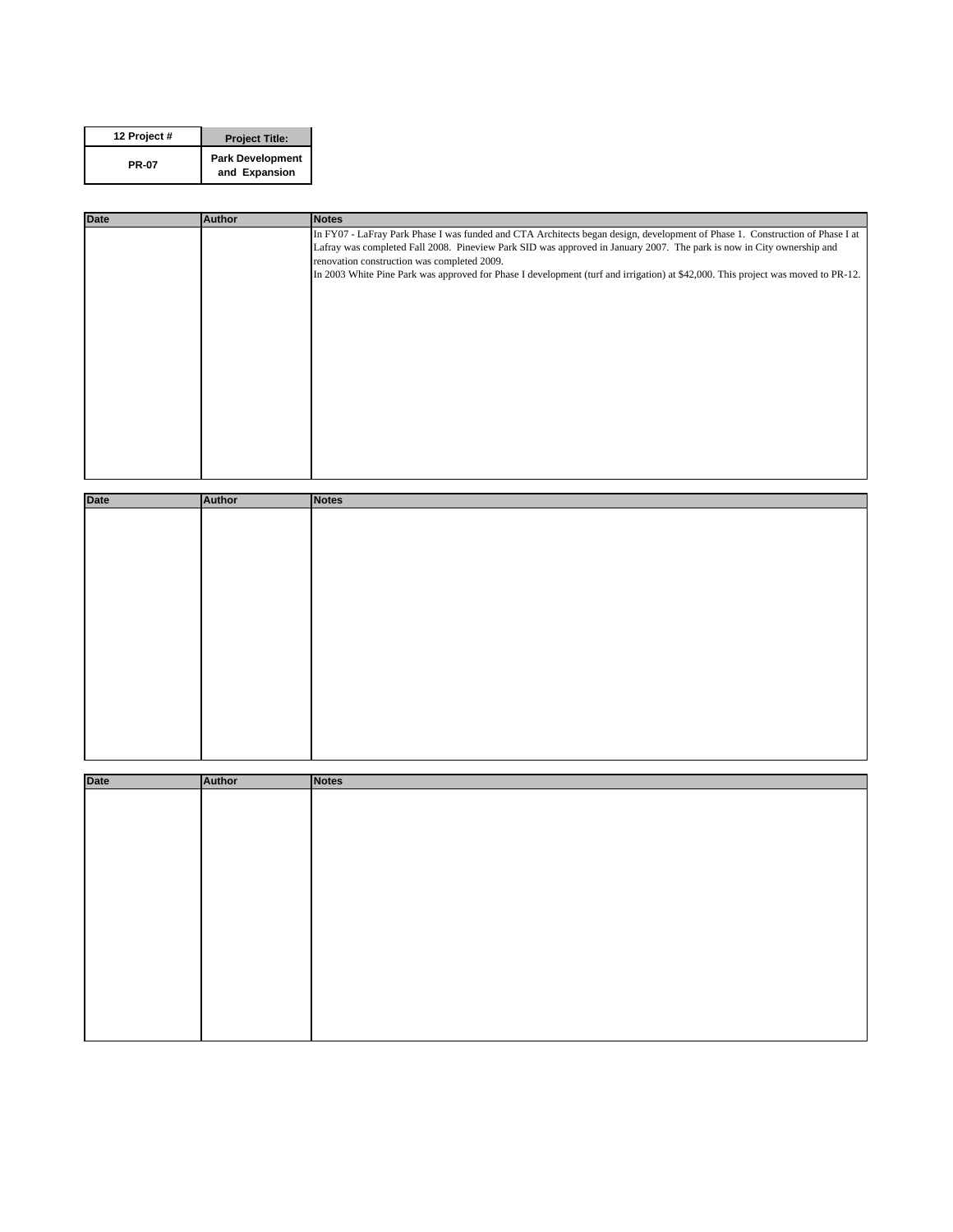| 12 Project # | <b>Project Title:</b>                    |
|--------------|------------------------------------------|
| <b>PR-07</b> | <b>Park Development</b><br>and Expansion |

| <b>Date</b> | <b>Author</b> | <b>Notes</b>                                                                                                                     |
|-------------|---------------|----------------------------------------------------------------------------------------------------------------------------------|
|             |               | In FY07 - LaFray Park Phase I was funded and CTA Architects began design, development of Phase 1. Construction of Phase I at     |
|             |               | Lafray was completed Fall 2008. Pineview Park SID was approved in January 2007. The park is now in City ownership and            |
|             |               | renovation construction was completed 2009.                                                                                      |
|             |               | In 2003 White Pine Park was approved for Phase I development (turf and irrigation) at \$42,000. This project was moved to PR-12. |
|             |               |                                                                                                                                  |
|             |               |                                                                                                                                  |
|             |               |                                                                                                                                  |
|             |               |                                                                                                                                  |
|             |               |                                                                                                                                  |
|             |               |                                                                                                                                  |
|             |               |                                                                                                                                  |
|             |               |                                                                                                                                  |
|             |               |                                                                                                                                  |
|             |               |                                                                                                                                  |
|             |               |                                                                                                                                  |
|             |               |                                                                                                                                  |
|             |               |                                                                                                                                  |
|             |               |                                                                                                                                  |

| <b>Date</b> | Author | Notes |
|-------------|--------|-------|
|             |        |       |
|             |        |       |
|             |        |       |
|             |        |       |
|             |        |       |
|             |        |       |
|             |        |       |
|             |        |       |
|             |        |       |
|             |        |       |
|             |        |       |
|             |        |       |
|             |        |       |
|             |        |       |
|             |        |       |
|             |        |       |
|             |        |       |

| <b>Date</b> | Author | <b>Notes</b> |
|-------------|--------|--------------|
|             |        |              |
|             |        |              |
|             |        |              |
|             |        |              |
|             |        |              |
|             |        |              |
|             |        |              |
|             |        |              |
|             |        |              |
|             |        |              |
|             |        |              |
|             |        |              |
|             |        |              |
|             |        |              |
|             |        |              |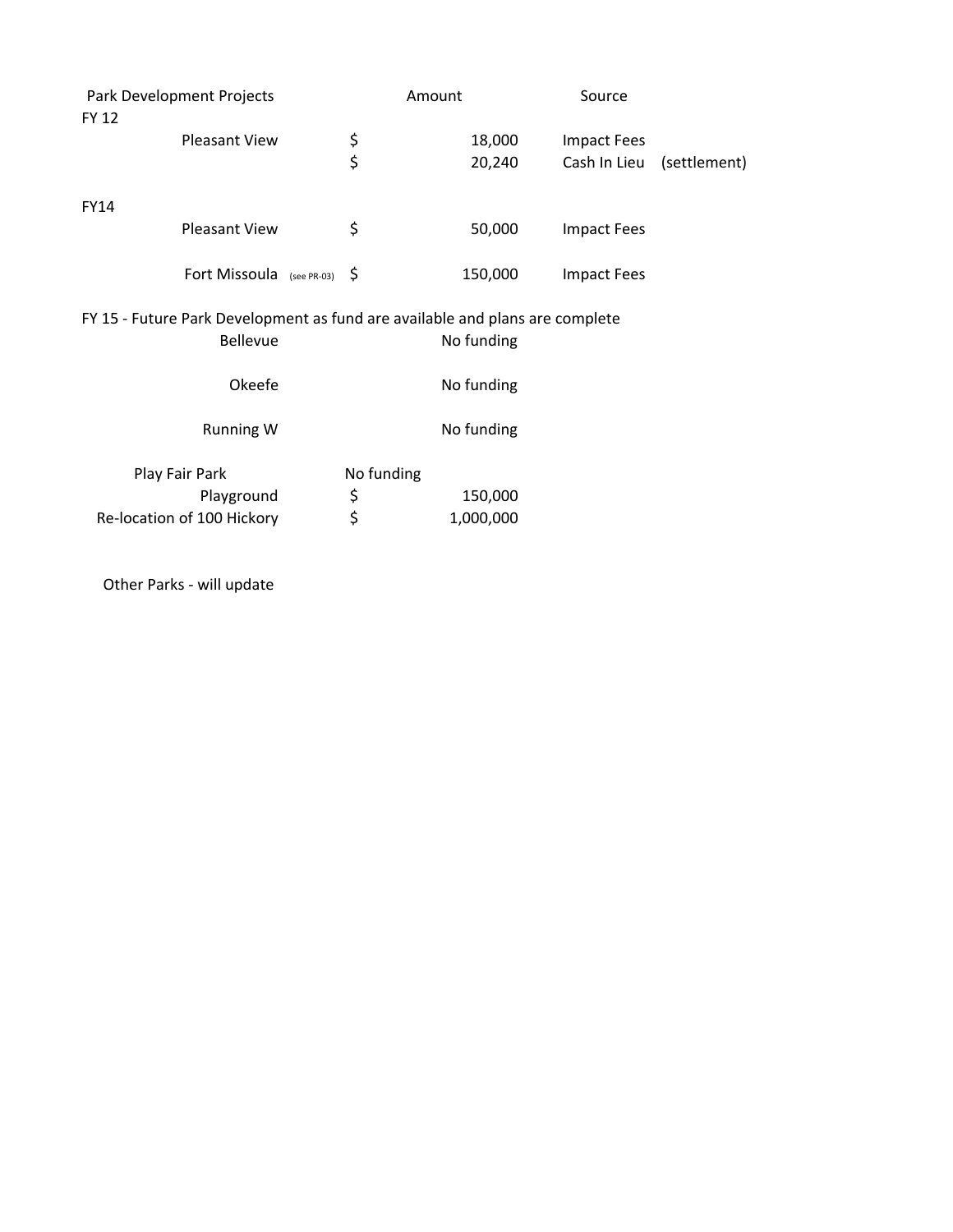| Park Development Projects<br>FY 12                                                              |                            |  | Amount     |            | Source             |              |
|-------------------------------------------------------------------------------------------------|----------------------------|--|------------|------------|--------------------|--------------|
|                                                                                                 | Pleasant View              |  |            | 18,000     | <b>Impact Fees</b> |              |
|                                                                                                 |                            |  | \$<br>\$   | 20,240     | Cash In Lieu       | (settlement) |
| <b>FY14</b>                                                                                     |                            |  |            |            |                    |              |
|                                                                                                 | <b>Pleasant View</b>       |  | \$         | 50,000     | <b>Impact Fees</b> |              |
|                                                                                                 | Fort Missoula (see PR-03)  |  | -\$        | 150,000    | <b>Impact Fees</b> |              |
| FY 15 - Future Park Development as fund are available and plans are complete<br><b>Bellevue</b> |                            |  |            | No funding |                    |              |
|                                                                                                 | Okeefe                     |  |            | No funding |                    |              |
|                                                                                                 | <b>Running W</b>           |  |            | No funding |                    |              |
|                                                                                                 | Play Fair Park             |  | No funding |            |                    |              |
|                                                                                                 | Playground                 |  | \$         | 150,000    |                    |              |
|                                                                                                 | Re-location of 100 Hickory |  | \$         | 1,000,000  |                    |              |

Other Parks ‐ will update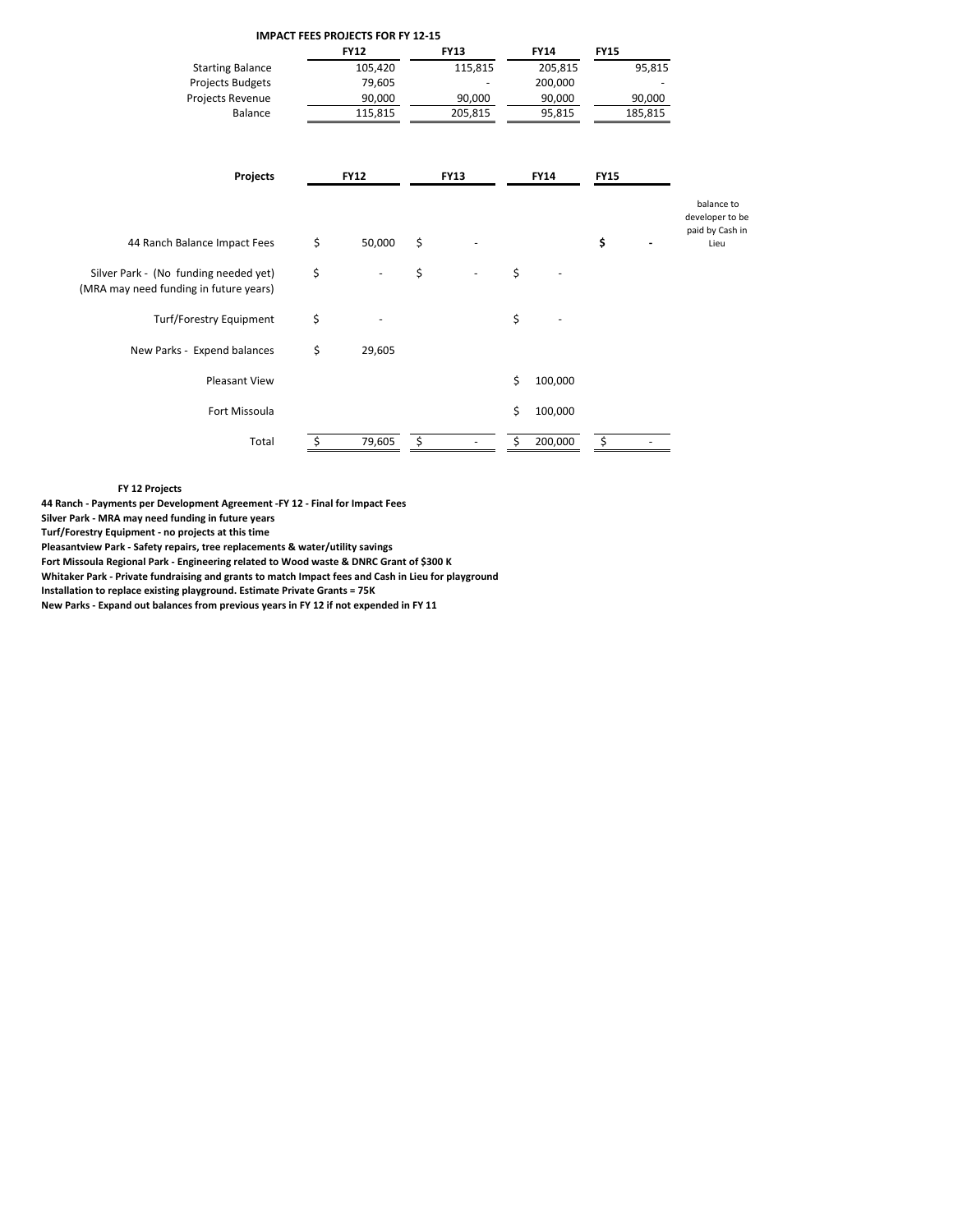|                                                                                 |    | <b>IMPACT FEES PROJECTS FOR FY 12-15</b> |             |    |             |             |         |                                                  |
|---------------------------------------------------------------------------------|----|------------------------------------------|-------------|----|-------------|-------------|---------|--------------------------------------------------|
|                                                                                 |    | <b>FY12</b>                              | <b>FY13</b> |    | <b>FY14</b> | <b>FY15</b> |         |                                                  |
| <b>Starting Balance</b>                                                         |    | 105,420                                  | 115,815     |    | 205,815     |             | 95,815  |                                                  |
| <b>Projects Budgets</b>                                                         |    | 79,605                                   |             |    | 200,000     |             |         |                                                  |
| Projects Revenue                                                                |    | 90,000                                   | 90,000      |    | 90,000      |             | 90,000  |                                                  |
| Balance                                                                         |    | 115,815                                  | 205,815     |    | 95,815      |             | 185,815 |                                                  |
| Projects                                                                        |    | <b>FY12</b>                              | <b>FY13</b> |    | <b>FY14</b> | <b>FY15</b> |         |                                                  |
|                                                                                 |    |                                          |             |    |             |             |         | balance to<br>developer to be<br>paid by Cash in |
| 44 Ranch Balance Impact Fees                                                    | \$ | 50,000                                   | \$          |    |             | \$          |         | Lieu                                             |
| Silver Park - (No funding needed yet)<br>(MRA may need funding in future years) | \$ |                                          | \$          | \$ |             |             |         |                                                  |
| Turf/Forestry Equipment                                                         | \$ |                                          |             | \$ |             |             |         |                                                  |
| New Parks - Expend balances                                                     | \$ | 29,605                                   |             |    |             |             |         |                                                  |
| <b>Pleasant View</b>                                                            |    |                                          |             | \$ | 100,000     |             |         |                                                  |
| Fort Missoula                                                                   |    |                                          |             | Ś. | 100,000     |             |         |                                                  |
| Total                                                                           | S  | 79,605                                   | \$          | Ś  | 200,000     | \$          |         |                                                  |

**FY 12 Projects**

**44 Ranch ‐ Payments per Development Agreement ‐FY 12 ‐ Final for Impact Fees**

**Silver Park ‐ MRA may need funding in future years**

**Turf/Forestry Equipment ‐ no projects at this time**

**Pleasantview Park ‐ Safety repairs, tree replacements & water/utility savings**

**Fort Missoula Regional Park ‐ Engineering related to Wood waste & DNRC Grant of \$300 K**

**Whitaker Park ‐ Private fundraising and grants to match Impact fees and Cash in Lieu for playground**

**Installation to replace existing playground. Estimate Private Grants = 75K**

**New Parks ‐ Expand out balances from previous years in FY 12 if not expended in FY 11**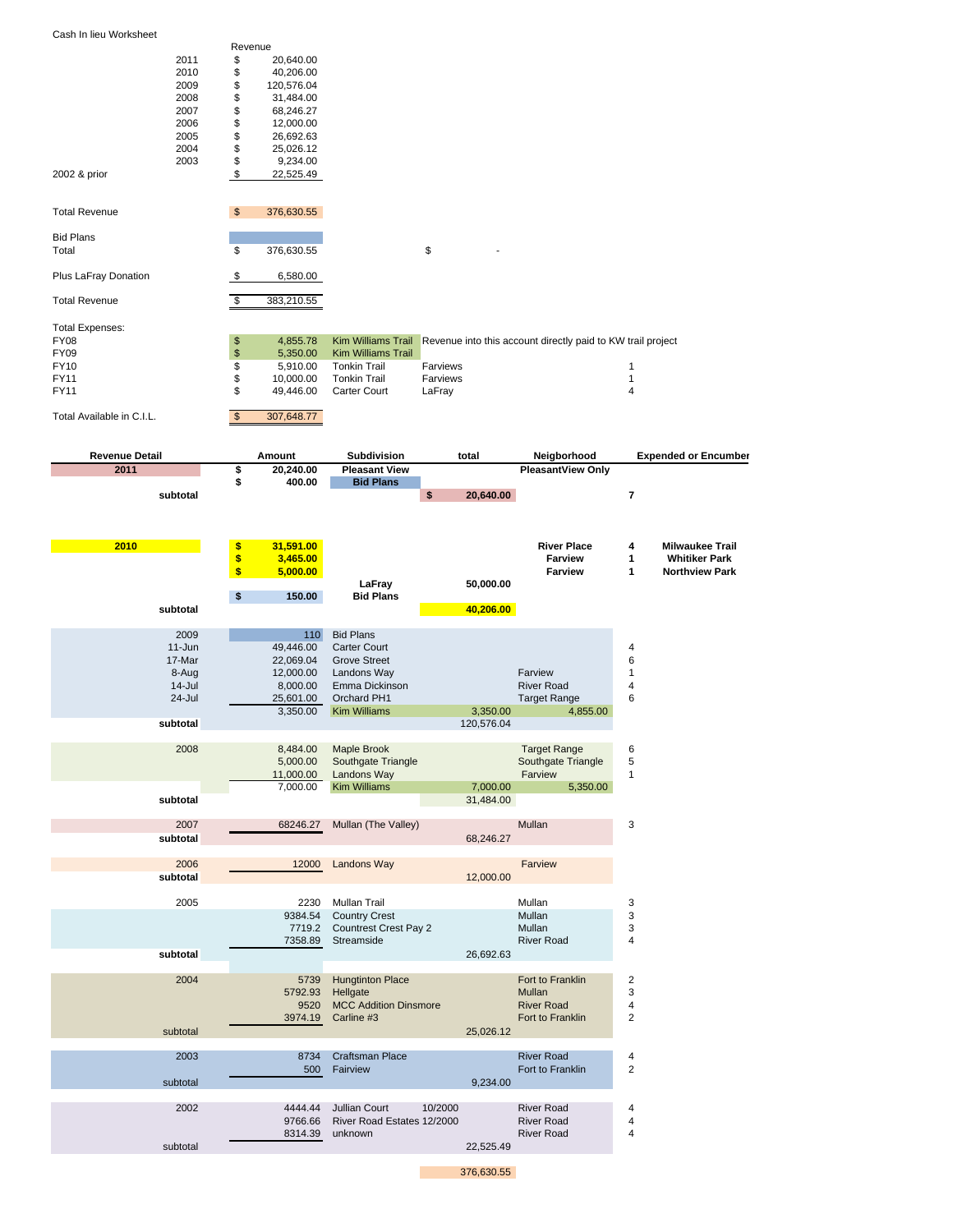|  |  |  | Cash In lieu Worksheet |  |
|--|--|--|------------------------|--|
|--|--|--|------------------------|--|

|               |      | Revenue |            |
|---------------|------|---------|------------|
|               | 2011 | \$      | 20,640.00  |
|               | 2010 | \$      | 40.206.00  |
|               | 2009 | \$      | 120,576.04 |
|               | 2008 | \$      | 31,484.00  |
|               | 2007 | \$      | 68.246.27  |
|               | 2006 | \$      | 12.000.00  |
|               | 2005 | \$      | 26,692.63  |
|               | 2004 | \$      | 25.026.12  |
|               | 2003 | \$      | 9.234.00   |
| 2002 & prior  |      | \$      | 22.525.49  |
|               |      |         |            |
| Total Revenue |      | \$      | 376.630.55 |
|               |      |         |            |

| <b>Bid Plans</b><br>Total | 376,630.55 | æ |  |
|---------------------------|------------|---|--|
| Plus LaFray Donation      | 6,580.00   |   |  |

| <b>Total Revenue</b>   | 383.210.55      |                           |          |                                                                                |
|------------------------|-----------------|---------------------------|----------|--------------------------------------------------------------------------------|
| <b>Total Expenses:</b> |                 |                           |          |                                                                                |
| FY08                   | \$<br>4.855.78  |                           |          | Kim Williams Trail Revenue into this account directly paid to KW trail project |
| FY09                   | \$<br>5.350.00  | <b>Kim Williams Trail</b> |          |                                                                                |
| FY10                   | \$<br>5.910.00  | <b>Tonkin Trail</b>       | Farviews |                                                                                |
| <b>FY11</b>            | \$<br>10.000.00 | Tonkin Trail              | Farviews |                                                                                |
| <b>FY11</b>            | \$<br>49.446.00 | Carter Court              | LaFray   | 4                                                                              |
|                        |                 |                           |          |                                                                                |

Total Available in C.I.L. 307,648.77

| <b>Revenue Detail</b> | Amount                | <b>Subdivision</b>              | total                 | Neigborhood              |                                | <b>Expended or Encumber</b> |
|-----------------------|-----------------------|---------------------------------|-----------------------|--------------------------|--------------------------------|-----------------------------|
| 2011                  | 20,240.00<br>\$       | <b>Pleasant View</b>            |                       | <b>PleasantView Only</b> |                                |                             |
|                       | 400.00<br>\$          | <b>Bid Plans</b>                |                       |                          |                                |                             |
| subtotal              |                       | \$                              | 20,640.00             |                          | 7                              |                             |
|                       |                       |                                 |                       |                          |                                |                             |
|                       |                       |                                 |                       |                          |                                |                             |
| 2010                  | \$<br>31,591.00       |                                 |                       | <b>River Place</b>       | 4                              | <b>Milwaukee Trail</b>      |
|                       | \$<br>3,465.00        |                                 |                       | <b>Farview</b>           | 1<br>1                         | <b>Whitiker Park</b>        |
|                       | \$<br>5,000.00        | LaFray                          | 50,000.00             | <b>Farview</b>           |                                | <b>Northview Park</b>       |
|                       | \$<br>150.00          | <b>Bid Plans</b>                |                       |                          |                                |                             |
| subtotal              |                       |                                 | 40,206.00             |                          |                                |                             |
|                       |                       |                                 |                       |                          |                                |                             |
| 2009                  | 110                   | <b>Bid Plans</b>                |                       |                          |                                |                             |
| $11 - Jun$            | 49,446.00             | Carter Court                    |                       |                          | 4                              |                             |
| 17-Mar                | 22,069.04             | <b>Grove Street</b>             |                       | Farview                  | 6                              |                             |
| 8-Aug<br>$14$ -Jul    | 12,000.00<br>8,000.00 | Landons Way<br>Emma Dickinson   |                       | <b>River Road</b>        | $\mathbf{1}$<br>$\overline{4}$ |                             |
| 24-Jul                | 25,601.00             | Orchard PH1                     |                       | <b>Target Range</b>      | 6                              |                             |
|                       | 3,350.00              | <b>Kim Williams</b>             | 3,350.00              | 4,855.00                 |                                |                             |
| subtotal              |                       |                                 | 120,576.04            |                          |                                |                             |
|                       |                       |                                 |                       |                          |                                |                             |
| 2008                  | 8,484.00              | Maple Brook                     |                       | <b>Target Range</b>      | 6                              |                             |
|                       | 5,000.00              | Southgate Triangle              |                       | Southgate Triangle       | 5                              |                             |
|                       | 11,000.00             | Landons Way                     |                       | Farview                  | $\mathbf{1}$                   |                             |
| subtotal              | 7,000.00              | <b>Kim Williams</b>             | 7,000.00<br>31,484.00 | 5,350.00                 |                                |                             |
|                       |                       |                                 |                       |                          |                                |                             |
| 2007                  | 68246.27              | Mullan (The Valley)             |                       | Mullan                   | 3                              |                             |
| subtotal              |                       |                                 | 68,246.27             |                          |                                |                             |
|                       |                       |                                 |                       |                          |                                |                             |
| 2006                  | 12000                 | <b>Landons Way</b>              |                       | Farview                  |                                |                             |
| subtotal              |                       |                                 | 12,000.00             |                          |                                |                             |
| 2005                  | 2230                  | Mullan Trail                    |                       | Mullan                   | 3                              |                             |
|                       | 9384.54               | <b>Country Crest</b>            |                       | Mullan                   | 3                              |                             |
|                       | 7719.2                | <b>Countrest Crest Pay 2</b>    |                       | Mullan                   | 3                              |                             |
|                       | 7358.89               | Streamside                      |                       | <b>River Road</b>        | $\overline{4}$                 |                             |
| subtotal              |                       |                                 | 26,692.63             |                          |                                |                             |
|                       |                       |                                 |                       |                          |                                |                             |
| 2004                  | 5739                  | <b>Hungtinton Place</b>         |                       | Fort to Franklin         | $\overline{2}$                 |                             |
|                       | 5792.93               | Hellgate                        |                       | Mullan                   | 3                              |                             |
|                       | 9520                  | <b>MCC Addition Dinsmore</b>    |                       | <b>River Road</b>        | 4                              |                             |
| subtotal              | 3974.19               | Carline #3                      |                       | Fort to Franklin         | $\overline{2}$                 |                             |
|                       |                       |                                 | 25,026.12             |                          |                                |                             |
| 2003                  | 8734                  | <b>Craftsman Place</b>          |                       | <b>River Road</b>        | 4                              |                             |
|                       | 500                   | Fairview                        |                       | Fort to Franklin         | 2                              |                             |
| subtotal              |                       |                                 | 9,234.00              |                          |                                |                             |
|                       |                       |                                 |                       |                          |                                |                             |
| 2002                  | 4444.44               | <b>Jullian Court</b><br>10/2000 |                       | <b>River Road</b>        | 4                              |                             |
|                       | 9766.66               | River Road Estates 12/2000      |                       | <b>River Road</b>        | 4                              |                             |
|                       | 8314.39               | unknown                         | 22,525.49             | <b>River Road</b>        | $\overline{4}$                 |                             |
| subtotal              |                       |                                 |                       |                          |                                |                             |

376,630.55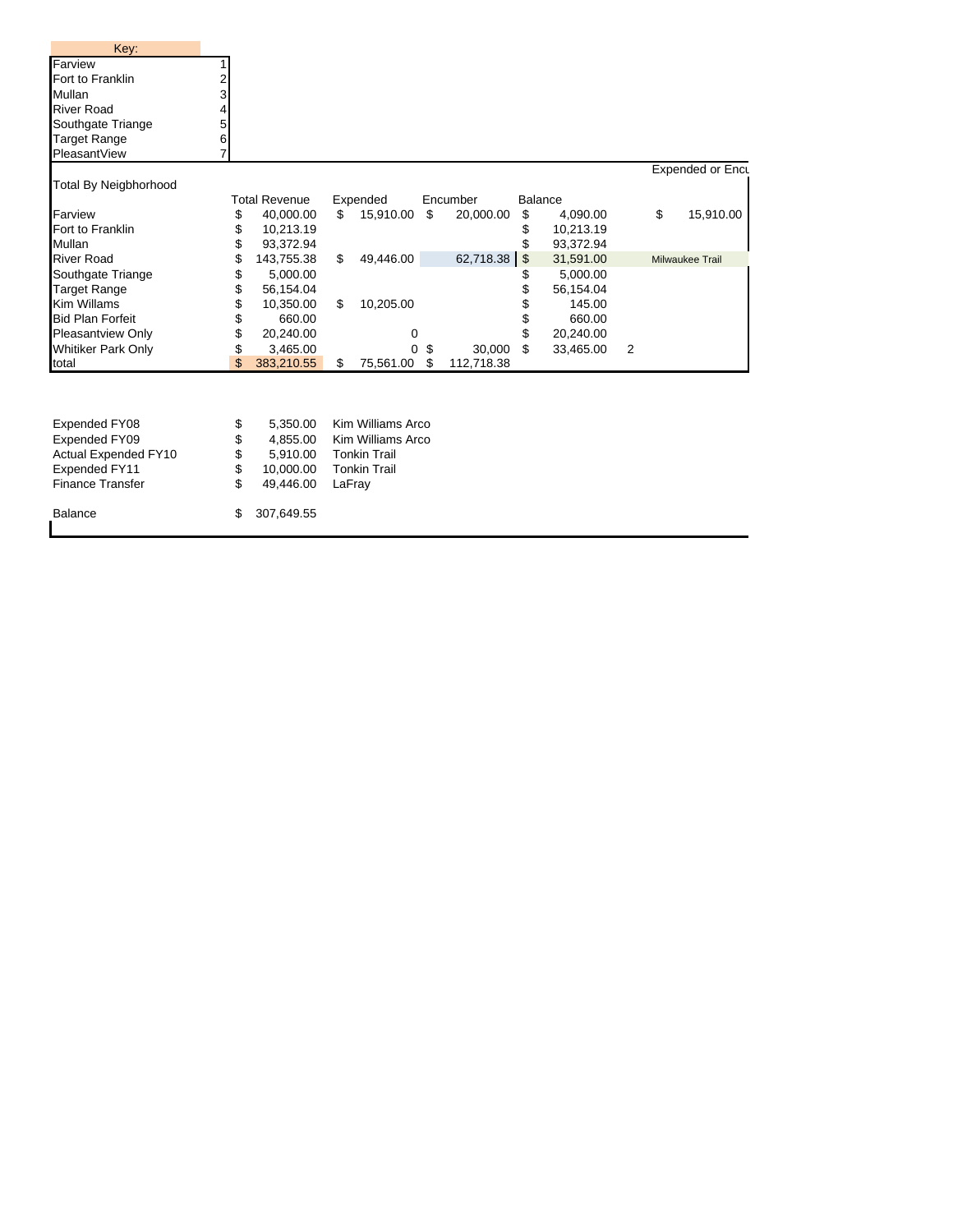| Key:                         |    |                      |                   |                  |              |                |                |                  |
|------------------------------|----|----------------------|-------------------|------------------|--------------|----------------|----------------|------------------|
| Farview                      |    |                      |                   |                  |              |                |                |                  |
| Fort to Franklin             |    |                      |                   |                  |              |                |                |                  |
| Mullan                       | 3  |                      |                   |                  |              |                |                |                  |
| <b>River Road</b>            |    |                      |                   |                  |              |                |                |                  |
| Southgate Triange            | 5  |                      |                   |                  |              |                |                |                  |
| <b>Target Range</b>          | 6  |                      |                   |                  |              |                |                |                  |
| PleasantView                 |    |                      |                   |                  |              |                |                |                  |
|                              |    |                      |                   |                  |              |                |                | Expended or Encu |
| <b>Total By Neigbhorhood</b> |    |                      |                   |                  |              |                |                |                  |
|                              |    | <b>Total Revenue</b> | Expended          | Encumber         |              | <b>Balance</b> |                |                  |
| Farview                      | \$ | 40,000.00            | \$<br>15,910.00   | \$<br>20,000.00  | \$           | 4,090.00       |                | \$<br>15,910.00  |
| Fort to Franklin             | \$ | 10,213.19            |                   |                  |              | 10,213.19      |                |                  |
| Mullan                       | \$ | 93,372.94            |                   |                  |              | 93,372.94      |                |                  |
| <b>River Road</b>            | \$ | 143,755.38           | \$<br>49,446.00   | 62,718.38        | $\mathbf{s}$ | 31,591.00      |                | Milwaukee Trail  |
| Southgate Triange            | \$ | 5,000.00             |                   |                  |              | 5,000.00       |                |                  |
| <b>Target Range</b>          | \$ | 56,154.04            |                   |                  |              | 56,154.04      |                |                  |
| Kim Willams                  | \$ | 10,350.00            | \$<br>10,205.00   |                  |              | 145.00         |                |                  |
| <b>Bid Plan Forfeit</b>      | \$ | 660.00               |                   |                  | \$           | 660.00         |                |                  |
| Pleasantview Only            | \$ | 20,240.00            | 0                 |                  |              | 20,240.00      |                |                  |
| <b>Whitiker Park Only</b>    | \$ | 3,465.00             | O.                | \$<br>30,000     | \$           | 33,465.00      | $\overline{2}$ |                  |
| total                        | \$ | 383,210.55           | \$<br>75,561.00   | \$<br>112,718.38 |              |                |                |                  |
|                              |    |                      |                   |                  |              |                |                |                  |
|                              |    |                      |                   |                  |              |                |                |                  |
| Expended FY08                | \$ | 5.350.00             | Kim Williams Arco |                  |              |                |                |                  |
| Expended FY09                | \$ | 4,855.00             | Kim Williams Arco |                  |              |                |                |                  |

| Actual Expended FY10 |                  | 5,910.00 Tonkin Trail  |
|----------------------|------------------|------------------------|
| Expended FY11        |                  | 10.000.00 Tonkin Trail |
| Finance Transfer     | 49,446.00 LaFray |                        |
| Balance              | \$ 307,649.55    |                        |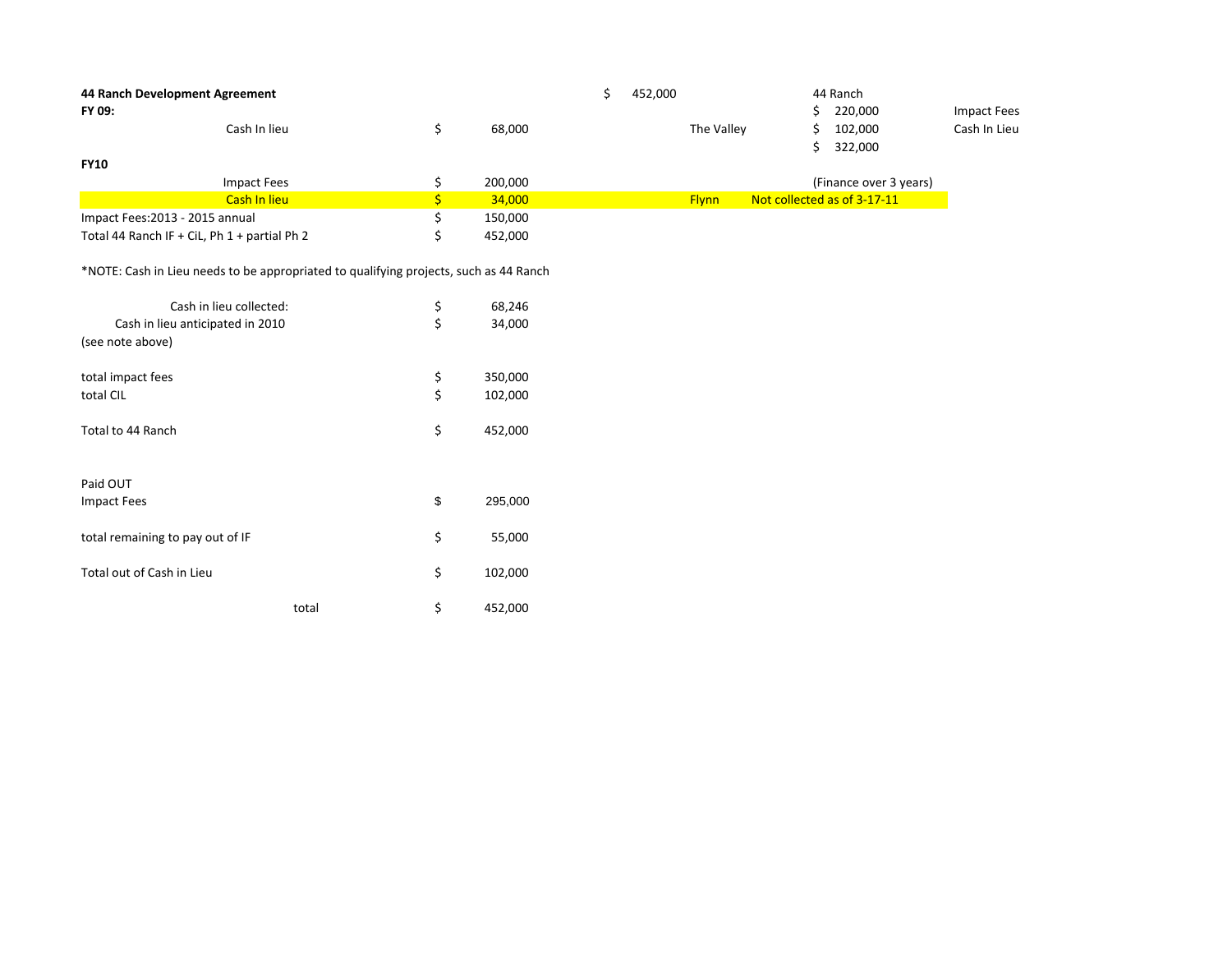| FY 09:                           | 44 Ranch Development Agreement                                                        |               | \$<br>452,000 |              | 44 Ranch<br>220,000<br>\$      | <b>Impact Fees</b> |
|----------------------------------|---------------------------------------------------------------------------------------|---------------|---------------|--------------|--------------------------------|--------------------|
|                                  | Cash In lieu                                                                          | \$<br>68,000  |               | The Valley   | 102,000<br>\$<br>322,000<br>\$ | Cash In Lieu       |
| <b>FY10</b>                      |                                                                                       |               |               |              |                                |                    |
|                                  | <b>Impact Fees</b>                                                                    | \$<br>200,000 |               |              | (Finance over 3 years)         |                    |
|                                  | Cash In lieu                                                                          | \$<br>34,000  |               | <b>Flynn</b> | Not collected as of 3-17-11    |                    |
| Impact Fees: 2013 - 2015 annual  |                                                                                       | \$<br>150,000 |               |              |                                |                    |
|                                  | Total 44 Ranch IF + CiL, Ph 1 + partial Ph 2                                          | \$<br>452,000 |               |              |                                |                    |
|                                  | *NOTE: Cash in Lieu needs to be appropriated to qualifying projects, such as 44 Ranch |               |               |              |                                |                    |
|                                  | Cash in lieu collected:                                                               | \$<br>68,246  |               |              |                                |                    |
|                                  | Cash in lieu anticipated in 2010                                                      | \$<br>34,000  |               |              |                                |                    |
| (see note above)                 |                                                                                       |               |               |              |                                |                    |
| total impact fees                |                                                                                       | \$<br>350,000 |               |              |                                |                    |
| total CIL                        |                                                                                       | \$<br>102,000 |               |              |                                |                    |
| Total to 44 Ranch                |                                                                                       | \$<br>452,000 |               |              |                                |                    |
| Paid OUT                         |                                                                                       |               |               |              |                                |                    |
| <b>Impact Fees</b>               |                                                                                       | \$<br>295,000 |               |              |                                |                    |
| total remaining to pay out of IF |                                                                                       | \$<br>55,000  |               |              |                                |                    |
|                                  |                                                                                       |               |               |              |                                |                    |
| Total out of Cash in Lieu        |                                                                                       | \$<br>102,000 |               |              |                                |                    |
|                                  | total                                                                                 | \$<br>452,000 |               |              |                                |                    |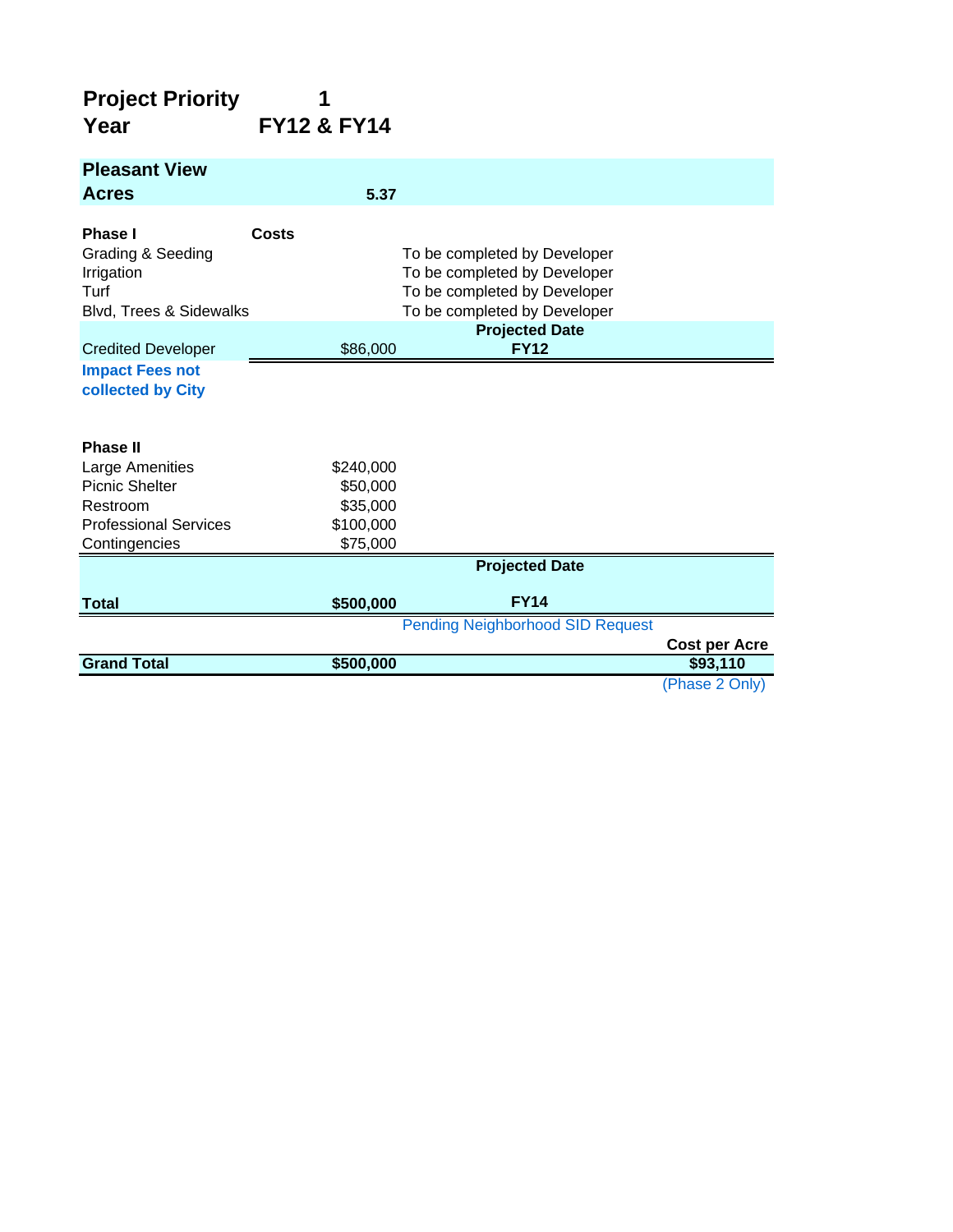#### **Project Priority 1 Year FY12 & FY14**

| <b>Pleasant View</b>                                                          |                       |                                                                                                                              |                                  |
|-------------------------------------------------------------------------------|-----------------------|------------------------------------------------------------------------------------------------------------------------------|----------------------------------|
| <b>Acres</b>                                                                  | 5.37                  |                                                                                                                              |                                  |
| Phase I<br>Grading & Seeding<br>Irrigation<br>Turf<br>Blvd, Trees & Sidewalks | Costs                 | To be completed by Developer<br>To be completed by Developer<br>To be completed by Developer<br>To be completed by Developer |                                  |
| <b>Credited Developer</b>                                                     | \$86,000              | <b>Projected Date</b><br><b>FY12</b>                                                                                         |                                  |
| <b>Impact Fees not</b><br>collected by City                                   |                       |                                                                                                                              |                                  |
| <b>Phase II</b>                                                               |                       |                                                                                                                              |                                  |
| Large Amenities                                                               | \$240,000             |                                                                                                                              |                                  |
| <b>Picnic Shelter</b>                                                         | \$50,000              |                                                                                                                              |                                  |
| Restroom<br><b>Professional Services</b>                                      | \$35,000<br>\$100,000 |                                                                                                                              |                                  |
| Contingencies                                                                 | \$75,000              |                                                                                                                              |                                  |
|                                                                               |                       | <b>Projected Date</b>                                                                                                        |                                  |
| <b>Total</b>                                                                  | \$500,000             | <b>FY14</b>                                                                                                                  |                                  |
|                                                                               |                       | <b>Pending Neighborhood SID Request</b>                                                                                      |                                  |
| <b>Grand Total</b>                                                            | \$500,000             |                                                                                                                              | <b>Cost per Acre</b><br>\$93,110 |
|                                                                               |                       |                                                                                                                              | (Phase 2 Only)                   |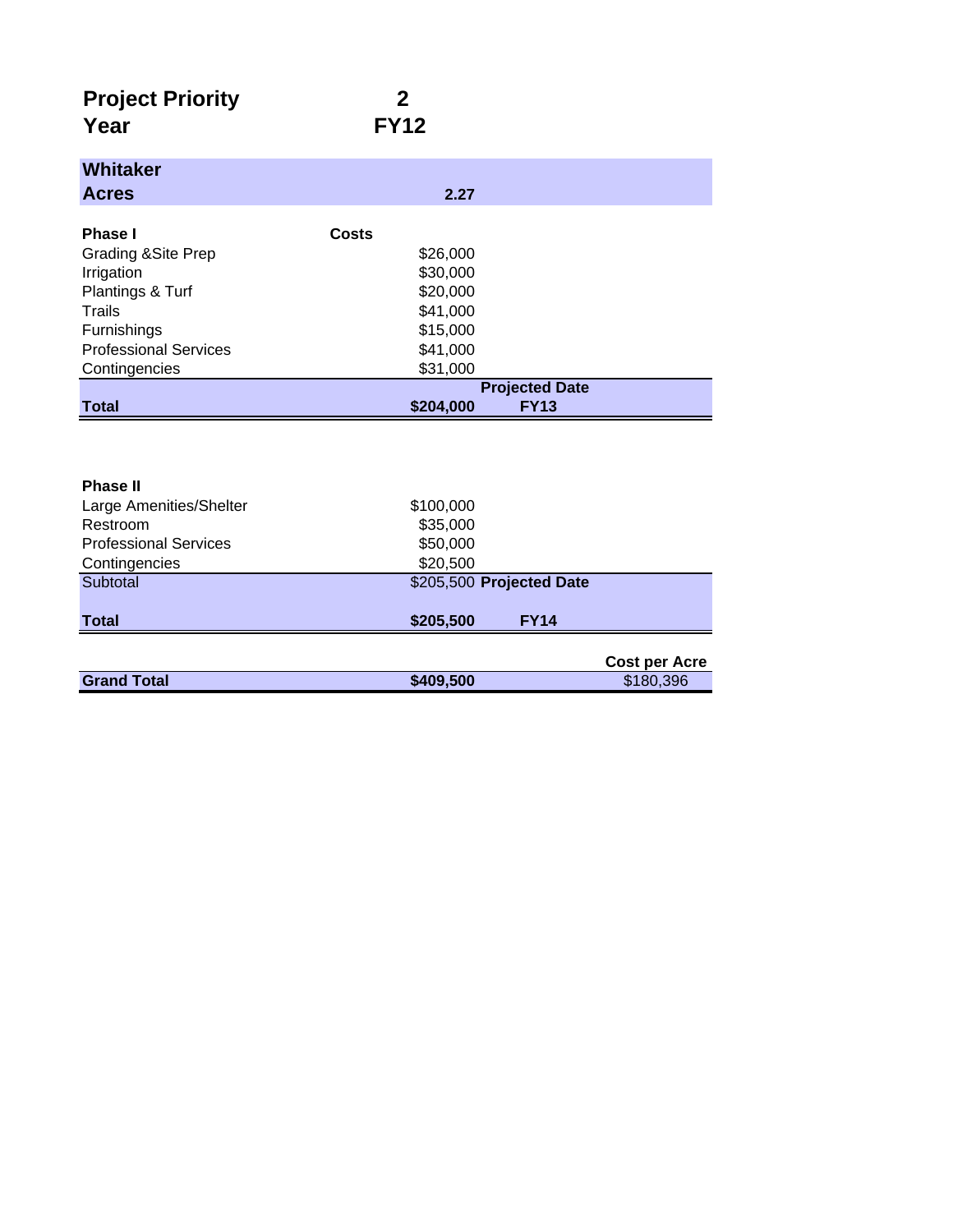| <b>Project Priority</b> |             |
|-------------------------|-------------|
| Year                    | <b>FY12</b> |

| <b>Whitaker</b>                |                          |
|--------------------------------|--------------------------|
| <b>Acres</b>                   | 2.27                     |
|                                |                          |
| Phase I                        | Costs                    |
| <b>Grading &amp; Site Prep</b> | \$26,000                 |
| Irrigation                     | \$30,000                 |
| Plantings & Turf               | \$20,000                 |
| Trails                         | \$41,000                 |
| Furnishings                    | \$15,000                 |
| <b>Professional Services</b>   | \$41,000                 |
| Contingencies                  | \$31,000                 |
|                                | <b>Projected Date</b>    |
| <b>Total</b>                   | \$204,000<br><b>FY13</b> |

| <b>Phase II</b>              |                          |                      |
|------------------------------|--------------------------|----------------------|
| Large Amenities/Shelter      | \$100,000                |                      |
| Restroom                     | \$35,000                 |                      |
| <b>Professional Services</b> | \$50,000                 |                      |
| Contingencies                | \$20,500                 |                      |
| Subtotal                     | \$205,500 Projected Date |                      |
| <b>Total</b>                 | \$205,500<br><b>FY14</b> |                      |
|                              |                          |                      |
|                              |                          | <b>Cost per Acre</b> |
| <b>Grand Total</b>           | \$409,500                | \$180,396            |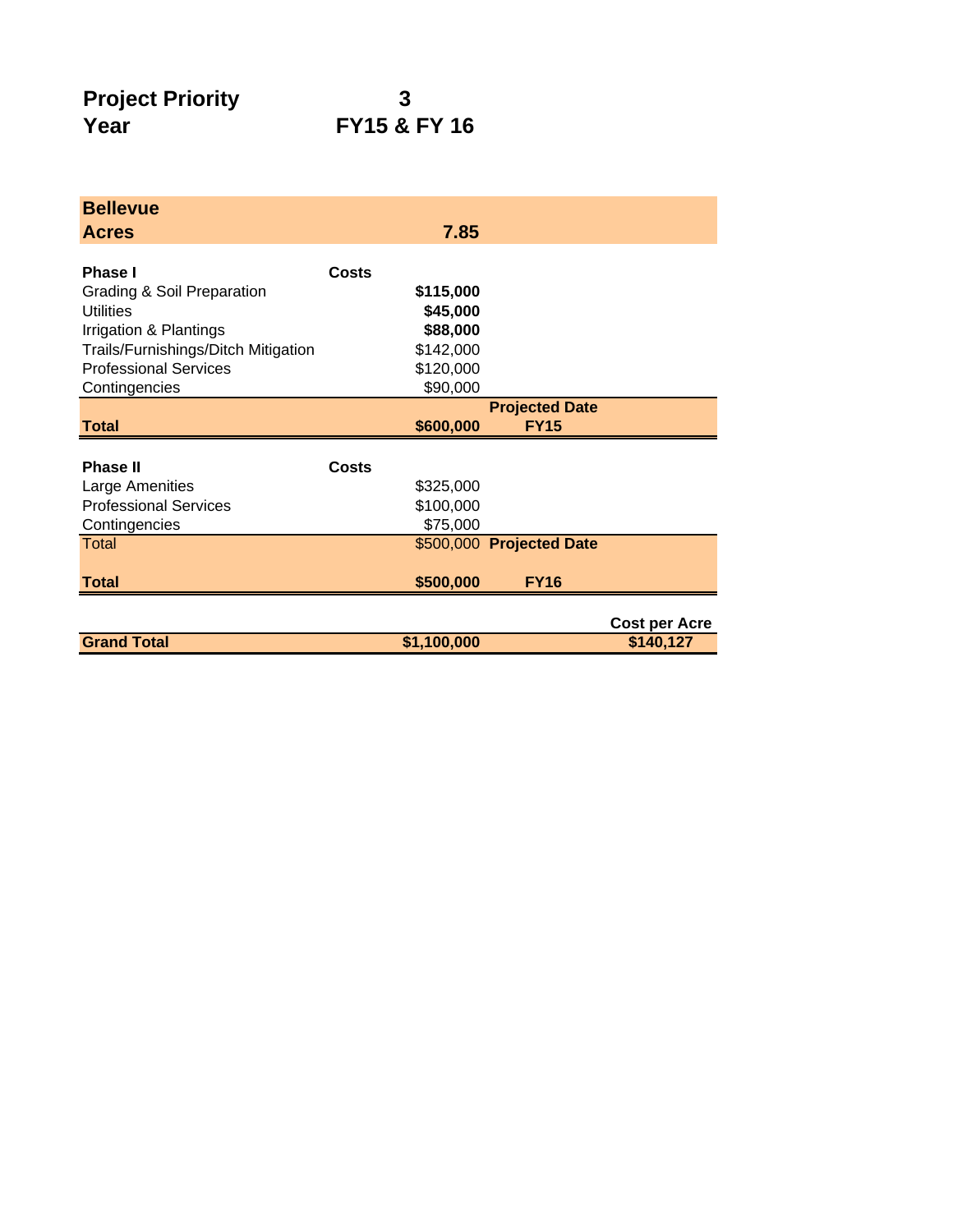## **FY15 & FY 16**

| <b>Bellevue</b>                                           |                       |                          |                      |
|-----------------------------------------------------------|-----------------------|--------------------------|----------------------|
| <b>Acres</b>                                              | 7.85                  |                          |                      |
|                                                           |                       |                          |                      |
| Phase I                                                   | Costs                 |                          |                      |
| <b>Grading &amp; Soil Preparation</b><br><b>Utilities</b> | \$115,000<br>\$45,000 |                          |                      |
| Irrigation & Plantings                                    | \$88,000              |                          |                      |
| Trails/Furnishings/Ditch Mitigation                       | \$142,000             |                          |                      |
| <b>Professional Services</b>                              | \$120,000             |                          |                      |
| Contingencies                                             | \$90,000              |                          |                      |
|                                                           |                       | <b>Projected Date</b>    |                      |
| <b>Total</b>                                              | \$600,000             | <b>FY15</b>              |                      |
|                                                           |                       |                          |                      |
| <b>Phase II</b>                                           | Costs                 |                          |                      |
| Large Amenities                                           | \$325,000             |                          |                      |
| <b>Professional Services</b>                              | \$100,000             |                          |                      |
| Contingencies                                             | \$75,000              |                          |                      |
| Total                                                     |                       | \$500,000 Projected Date |                      |
|                                                           |                       |                          |                      |
| <b>Total</b>                                              | \$500,000             | <b>FY16</b>              |                      |
|                                                           |                       |                          |                      |
|                                                           |                       |                          | <b>Cost per Acre</b> |
| <b>Grand Total</b>                                        | \$1,100,000           |                          | \$140,127            |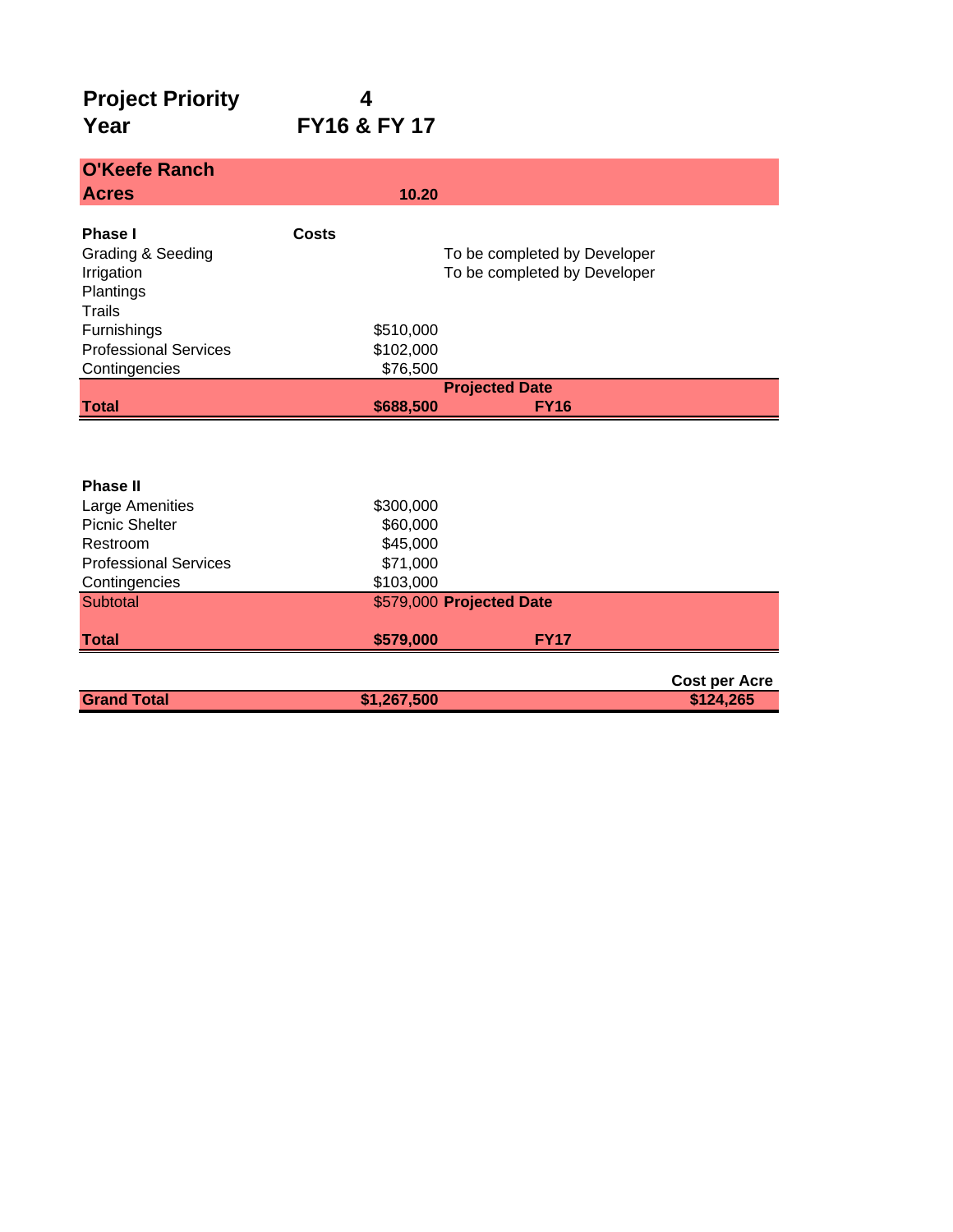### **Project Priority 4<br>
Year FY16 & Year FY16 & FY 17**

| <b>O'Keefe Ranch</b>            |           |                                                              |  |
|---------------------------------|-----------|--------------------------------------------------------------|--|
| <b>Acres</b>                    | 10.20     |                                                              |  |
| <b>Phase I</b>                  | Costs     |                                                              |  |
|                                 |           |                                                              |  |
| Grading & Seeding<br>Irrigation |           | To be completed by Developer<br>To be completed by Developer |  |
| Plantings                       |           |                                                              |  |
| <b>Trails</b>                   |           |                                                              |  |
| Furnishings                     | \$510,000 |                                                              |  |
| <b>Professional Services</b>    | \$102,000 |                                                              |  |
| Contingencies                   | \$76,500  |                                                              |  |
|                                 |           | <b>Projected Date</b>                                        |  |
| <b>Total</b>                    | \$688,500 | <b>FY16</b>                                                  |  |
|                                 |           |                                                              |  |
|                                 |           |                                                              |  |
|                                 |           |                                                              |  |
| <b>Phase II</b>                 |           |                                                              |  |
| Large Amenities                 | \$300,000 |                                                              |  |
| Picnic Shelter                  | \$60,000  |                                                              |  |
| Restroom                        | \$45,000  |                                                              |  |
| <b>Professional Services</b>    | \$71,000  |                                                              |  |
| Contingencies                   | \$103,000 |                                                              |  |
| Subtotal                        |           | \$579,000 Projected Date                                     |  |
| <b>Total</b>                    | \$579,000 | <b>FY17</b>                                                  |  |
|                                 |           |                                                              |  |

|                    |             | <b>Cost per Acre</b> |
|--------------------|-------------|----------------------|
| <b>Grand Total</b> | \$1,267,500 | \$124,265            |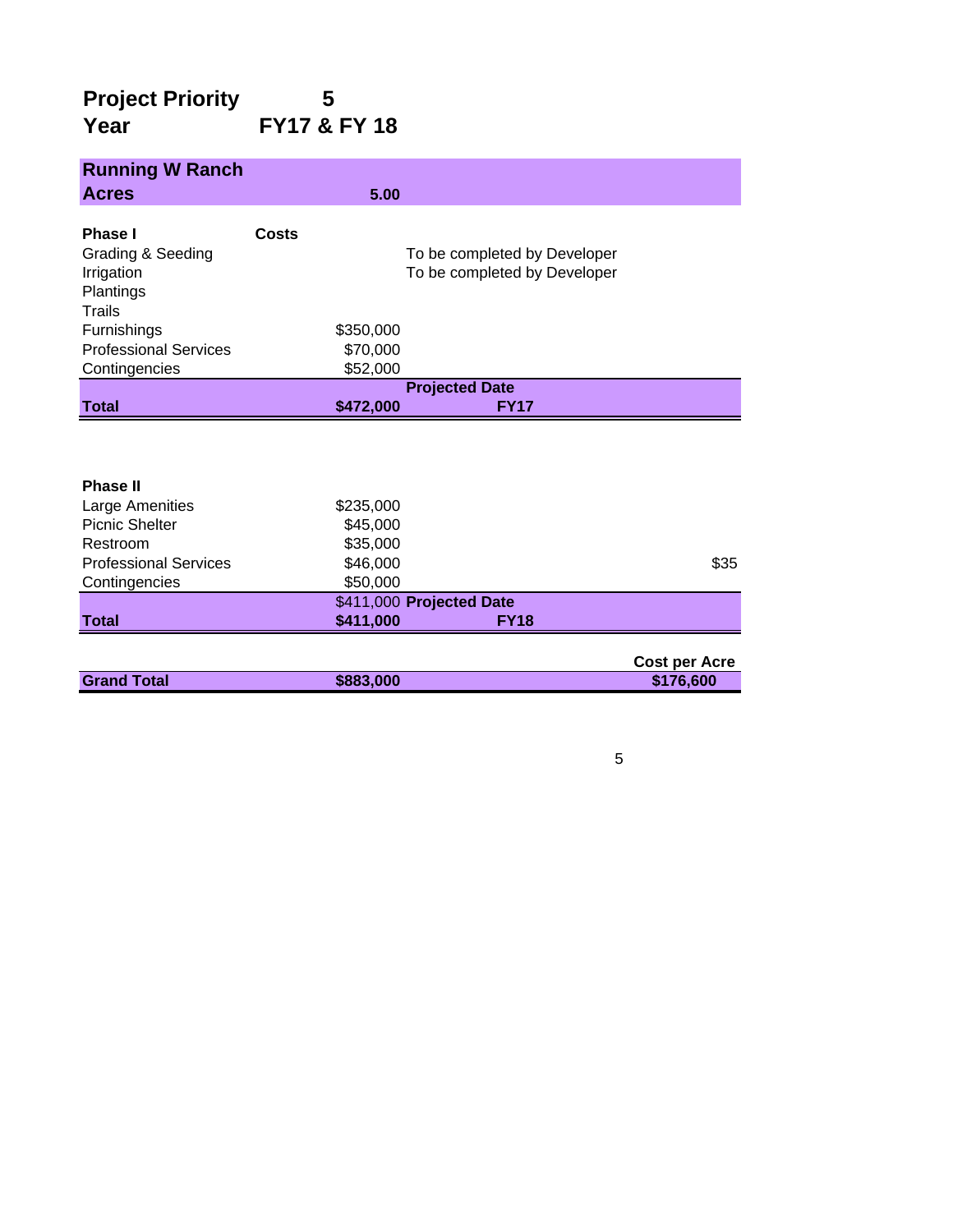#### **Project Priority 5 Year FY17 & FY 18**

| <b>Running W Ranch</b>                                            |       |                      |                                                              |                      |
|-------------------------------------------------------------------|-------|----------------------|--------------------------------------------------------------|----------------------|
| <b>Acres</b>                                                      |       | 5.00                 |                                                              |                      |
| Phase I<br>Grading & Seeding<br>Irrigation<br>Plantings<br>Trails | Costs |                      | To be completed by Developer<br>To be completed by Developer |                      |
| Furnishings                                                       |       | \$350,000            |                                                              |                      |
| <b>Professional Services</b>                                      |       | \$70,000             |                                                              |                      |
| Contingencies                                                     |       | \$52,000             |                                                              |                      |
|                                                                   |       |                      | <b>Projected Date</b>                                        |                      |
| <b>Total</b>                                                      |       | \$472,000            | <b>FY17</b>                                                  |                      |
|                                                                   |       |                      |                                                              |                      |
| <b>Phase II</b>                                                   |       |                      |                                                              |                      |
| Large Amenities                                                   |       | \$235,000            |                                                              |                      |
| Picnic Shelter<br>Restroom                                        |       | \$45,000             |                                                              |                      |
| <b>Professional Services</b>                                      |       | \$35,000<br>\$46,000 |                                                              | \$35                 |
| Contingencies                                                     |       | \$50,000             |                                                              |                      |
|                                                                   |       |                      | \$411,000 Projected Date                                     |                      |
| <b>Total</b>                                                      |       | \$411,000            | <b>FY18</b>                                                  |                      |
|                                                                   |       |                      |                                                              | <b>Cost per Acre</b> |

|                    |           | <b>COST DET ACTE</b> |
|--------------------|-----------|----------------------|
| <b>Grand Total</b> | \$883,000 | \$176,600            |
|                    |           |                      |

#### 5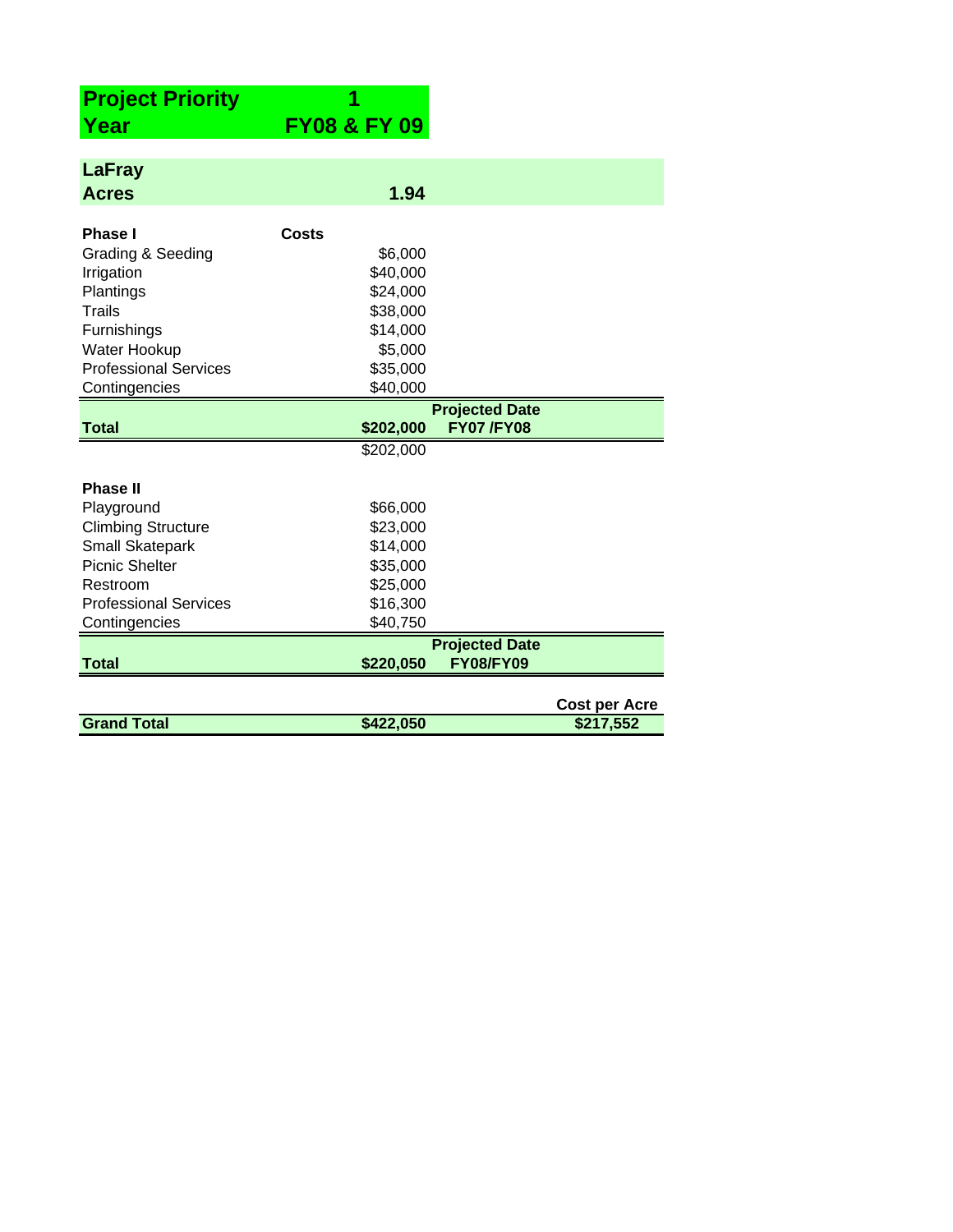| <b>Project Priority</b>      |                         |                       |                      |
|------------------------------|-------------------------|-----------------------|----------------------|
| Year                         | <b>FY08 &amp; FY 09</b> |                       |                      |
|                              |                         |                       |                      |
| <b>LaFray</b>                |                         |                       |                      |
| <b>Acres</b>                 | 1.94                    |                       |                      |
|                              |                         |                       |                      |
| <b>Phase I</b>               | Costs                   |                       |                      |
| Grading & Seeding            | \$6,000                 |                       |                      |
| Irrigation                   | \$40,000                |                       |                      |
| Plantings                    | \$24,000                |                       |                      |
| <b>Trails</b>                | \$38,000                |                       |                      |
| Furnishings                  | \$14,000                |                       |                      |
| Water Hookup                 | \$5,000                 |                       |                      |
| <b>Professional Services</b> | \$35,000                |                       |                      |
| Contingencies                | \$40,000                |                       |                      |
|                              | <b>Projected Date</b>   |                       |                      |
| <b>Total</b>                 | \$202,000               | <b>FY07/FY08</b>      |                      |
|                              | \$202,000               |                       |                      |
| <b>Phase II</b>              |                         |                       |                      |
| Playground                   | \$66,000                |                       |                      |
| <b>Climbing Structure</b>    | \$23,000                |                       |                      |
| <b>Small Skatepark</b>       | \$14,000                |                       |                      |
| <b>Picnic Shelter</b>        | \$35,000                |                       |                      |
| Restroom                     | \$25,000                |                       |                      |
| <b>Professional Services</b> | \$16,300                |                       |                      |
| Contingencies                | \$40,750                |                       |                      |
|                              |                         | <b>Projected Date</b> |                      |
| <b>Total</b>                 | \$220,050               | <b>FY08/FY09</b>      |                      |
|                              |                         |                       |                      |
| <b>Grand Total</b>           | \$422,050               |                       | <b>Cost per Acre</b> |
|                              |                         |                       | \$217,552            |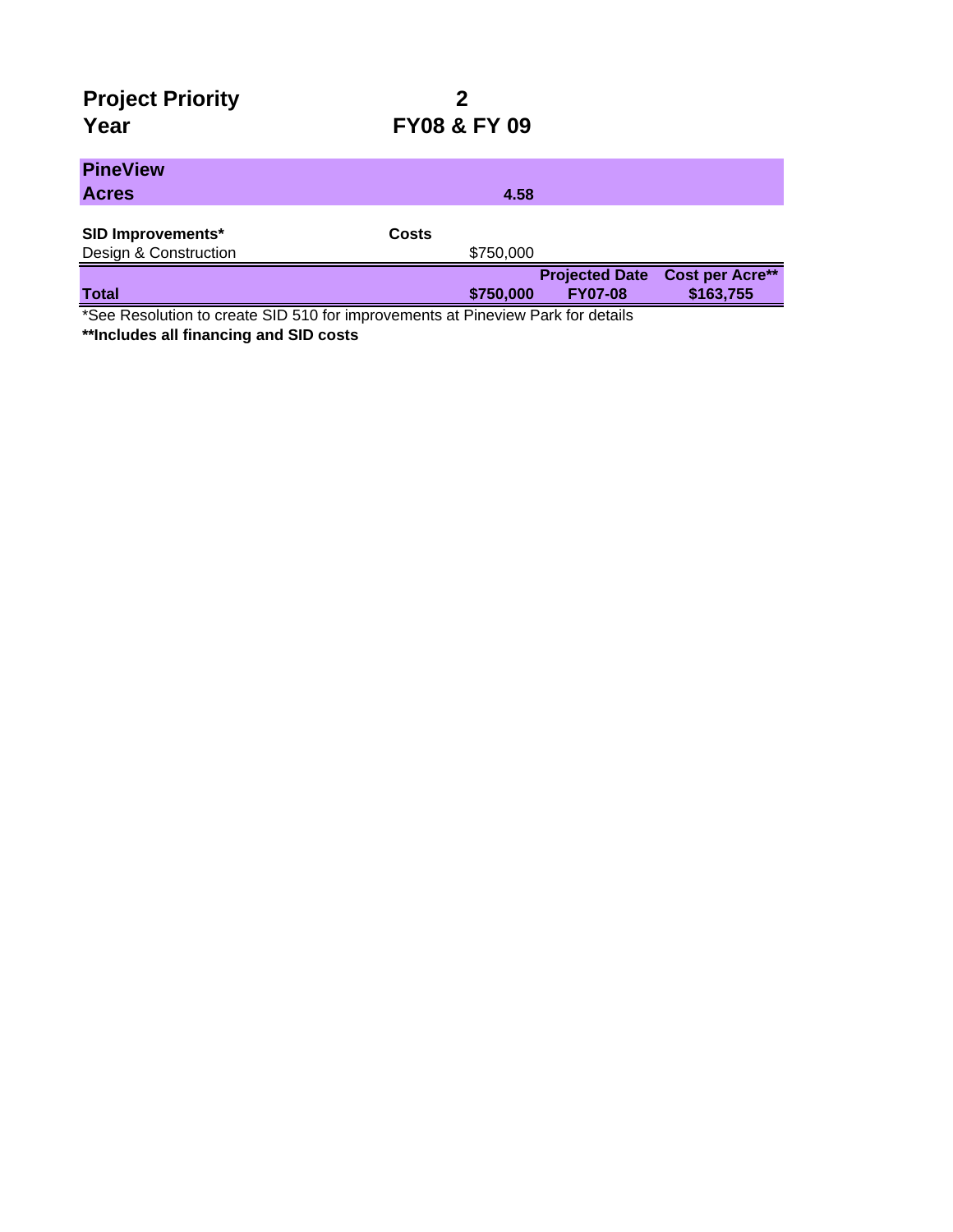# **Project Priority 2**

## **Year FY08 & FY 09**

| $\sim$ $\sim$ $\sim$<br>.<br>$\sim$ $\sim$ $\sim$ $\sim$<br>$\sim$ |              | $\sim$ $\sim$ $\sim$ | - - - - - -           |                        |
|--------------------------------------------------------------------|--------------|----------------------|-----------------------|------------------------|
| <b>Total</b>                                                       |              | \$750,000            | <b>FY07-08</b>        | \$163,755              |
|                                                                    |              |                      | <b>Projected Date</b> | <b>Cost per Acre**</b> |
| Design & Construction                                              |              | \$750,000            |                       |                        |
| <b>SID Improvements*</b>                                           | <b>Costs</b> |                      |                       |                        |
| <b>Acres</b>                                                       |              | 4.58                 |                       |                        |
| <b>PineView</b>                                                    |              |                      |                       |                        |
|                                                                    |              |                      |                       |                        |

\*See Resolution to create SID 510 for improvements at Pineview Park for details

**\*\*Includes all financing and SID costs**